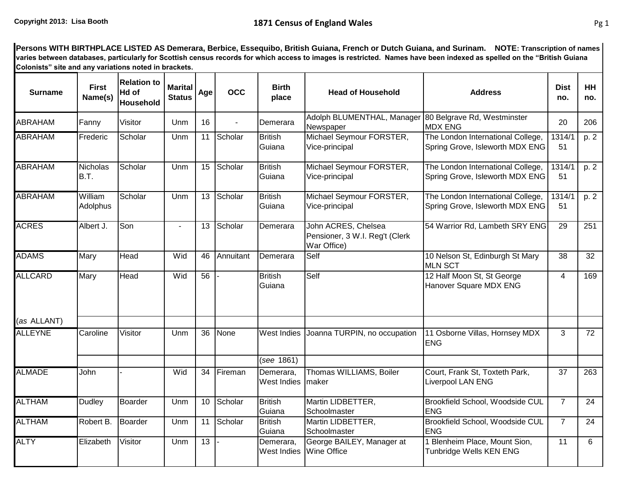**Persons WITH BIRTHPLACE LISTED AS Demerara, Berbice, Essequibo, British Guiana, French or Dutch Guiana, and Surinam. NOTE: Transcription of names varies between databases, particularly for Scottish census records for which access to images is restricted. Names have been indexed as spelled on the "British Guiana Colonists" site and any variations noted in brackets.**

| <b>Surname</b> | <b>First</b><br>Name(s) | <b>Relation to</b><br>Hd of<br>Household | <b>Marital</b><br><b>Status</b> | Age             | <b>OCC</b> | <b>Birth</b><br>place           | <b>Head of Household</b>                                             | <b>Address</b>                                                       | <b>Dist</b><br>no. | <b>HH</b><br>no. |
|----------------|-------------------------|------------------------------------------|---------------------------------|-----------------|------------|---------------------------------|----------------------------------------------------------------------|----------------------------------------------------------------------|--------------------|------------------|
| <b>ABRAHAM</b> | Fanny                   | Visitor                                  | Unm                             | 16              |            | Demerara                        | Adolph BLUMENTHAL, Manager<br>Newspaper                              | 80 Belgrave Rd, Westminster<br><b>MDX ENG</b>                        | 20                 | 206              |
| <b>ABRAHAM</b> | Frederic                | Scholar                                  | Unm                             | 11              | Scholar    | <b>British</b><br>Guiana        | Michael Seymour FORSTER,<br>Vice-principal                           | The London International College,<br>Spring Grove, Isleworth MDX ENG | 1314/1<br>51       | p. 2             |
| <b>ABRAHAM</b> | <b>Nicholas</b><br>B.T. | Scholar                                  | Unm                             | 15              | Scholar    | <b>British</b><br>Guiana        | Michael Seymour FORSTER,<br>Vice-principal                           | The London International College,<br>Spring Grove, Isleworth MDX ENG | 1314/1<br>51       | p. 2             |
| <b>ABRAHAM</b> | William<br>Adolphus     | Scholar                                  | Unm                             | 13              | Scholar    | <b>British</b><br>Guiana        | Michael Seymour FORSTER,<br>Vice-principal                           | The London International College,<br>Spring Grove, Isleworth MDX ENG | 1314/1<br>51       | p. 2             |
| <b>ACRES</b>   | Albert J.               | Son                                      |                                 | 13              | Scholar    | Demerara                        | John ACRES, Chelsea<br>Pensioner, 3 W.I. Reg't (Clerk<br>War Office) | 54 Warrior Rd, Lambeth SRY ENG                                       | 29                 | 251              |
| <b>ADAMS</b>   | Mary                    | Head                                     | Wid                             | 46              | Annuitant  | Demerara                        | Self                                                                 | 10 Nelson St, Edinburgh St Mary<br><b>MLN SCT</b>                    | 38                 | 32               |
| <b>ALLCARD</b> | Mary                    | Head                                     | Wid                             | 56              |            | <b>British</b><br>Guiana        | Self                                                                 | 12 Half Moon St, St George<br>Hanover Square MDX ENG                 | 4                  | 169              |
| (as ALLANT)    |                         |                                          |                                 |                 |            |                                 |                                                                      |                                                                      |                    |                  |
| <b>ALLEYNE</b> | Caroline                | Visitor                                  | Unm                             | 36              | None       | <b>West Indies</b>              | Joanna TURPIN, no occupation                                         | 11 Osborne Villas, Hornsey MDX<br><b>ENG</b>                         | 3                  | 72               |
|                |                         |                                          |                                 |                 |            | (see 1861)                      |                                                                      |                                                                      |                    |                  |
| <b>ALMADE</b>  | John                    |                                          | Wid                             | 34              | Fireman    | Demerara,<br><b>West Indies</b> | Thomas WILLIAMS, Boiler<br>maker                                     | Court, Frank St, Toxteth Park,<br><b>Liverpool LAN ENG</b>           | $\overline{37}$    | 263              |
| <b>ALTHAM</b>  | <b>Dudley</b>           | Boarder                                  | Unm                             | 10              | Scholar    | British<br>Guiana               | Martin LIDBETTER,<br>Schoolmaster                                    | Brookfield School, Woodside CUL<br><b>ENG</b>                        | $\overline{7}$     | 24               |
| <b>ALTHAM</b>  | Robert B.               | Boarder                                  | Unm                             | 11              | Scholar    | <b>British</b><br>Guiana        | Martin LIDBETTER,<br>Schoolmaster                                    | Brookfield School, Woodside CUL<br><b>ENG</b>                        | $\overline{7}$     | 24               |
| <b>ALTY</b>    | Elizabeth               | Visitor                                  | Unm                             | $\overline{13}$ |            | Demerara,<br>West Indies        | George BAILEY, Manager at<br><b>Wine Office</b>                      | 1 Blenheim Place, Mount Sion,<br>Tunbridge Wells KEN ENG             | 11                 | 6                |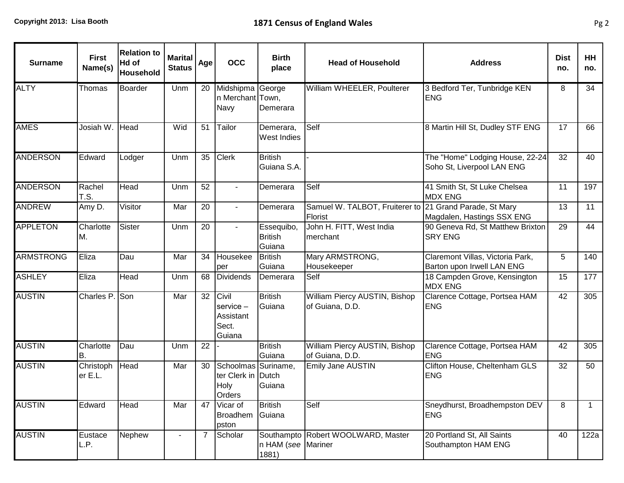| <b>Surname</b>   | <b>First</b><br>Name(s) | <b>Relation to</b><br>Hd of<br>Household | <b>Marital</b><br><b>Status</b> | Age            | <b>OCC</b>                                                  | <b>Birth</b><br>place                  | <b>Head of Household</b>                                           | <b>Address</b>                                                 | <b>Dist</b><br>no. | HH<br>no.    |
|------------------|-------------------------|------------------------------------------|---------------------------------|----------------|-------------------------------------------------------------|----------------------------------------|--------------------------------------------------------------------|----------------------------------------------------------------|--------------------|--------------|
| <b>ALTY</b>      | Thomas                  | <b>Boarder</b>                           | Unm                             | 20             | Midshipma George<br>n Merchant Town,<br>Navy                | Demerara                               | William WHEELER, Poulterer                                         | 3 Bedford Ter, Tunbridge KEN<br><b>ENG</b>                     | 8                  | 34           |
| <b>AMES</b>      | Josiah W.               | Head                                     | Wid                             | 51             | Tailor                                                      | Demerara,<br>West Indies               | Self                                                               | 8 Martin Hill St, Dudley STF ENG                               | 17                 | 66           |
| <b>ANDERSON</b>  | Edward                  | Lodger                                   | Unm                             | 35             | <b>Clerk</b>                                                | <b>British</b><br>Guiana S.A.          |                                                                    | The "Home" Lodging House, 22-24<br>Soho St, Liverpool LAN ENG  | 32                 | 40           |
| <b>ANDERSON</b>  | Rachel<br>T.S.          | Head                                     | Unm                             | 52             | $\blacksquare$                                              | Demerara                               | Self                                                               | 41 Smith St, St Luke Chelsea<br><b>MDX ENG</b>                 | 11                 | 197          |
| <b>ANDREW</b>    | Amy D.                  | Visitor                                  | Mar                             | 20             | $\sim$                                                      | Demerara                               | Samuel W. TALBOT, Fruiterer to 21 Grand Parade, St Mary<br>Florist | Magdalen, Hastings SSX ENG                                     | 13                 | 11           |
| <b>APPLETON</b>  | Charlotte<br>MM.        | Sister                                   | Unm                             | 20             |                                                             | Essequibo,<br><b>British</b><br>Guiana | John H. FITT, West India<br>merchant                               | 90 Geneva Rd, St Matthew Brixton<br><b>SRY ENG</b>             | 29                 | 44           |
| <b>ARMSTRONG</b> | Eliza                   | Dau                                      | Mar                             | 34             | Housekee<br>per                                             | <b>British</b><br>Guiana               | Mary ARMSTRONG,<br>Housekeeper                                     | Claremont Villas, Victoria Park,<br>Barton upon Irwell LAN ENG | 5 <sup>5</sup>     | 140          |
| <b>ASHLEY</b>    | Eliza                   | Head                                     | Unm                             | 68             | <b>Dividends</b>                                            | Demerara                               | Self                                                               | 18 Campden Grove, Kensington<br><b>MDX ENG</b>                 | 15                 | 177          |
| <b>AUSTIN</b>    | Charles P.              | Son                                      | Mar                             | 32             | Civil<br>$s$ ervice $-$<br>Assistant<br>Sect.<br>Guiana     | <b>British</b><br>Guiana               | William Piercy AUSTIN, Bishop<br>of Guiana, D.D.                   | Clarence Cottage, Portsea HAM<br><b>ENG</b>                    | 42                 | 305          |
| <b>AUSTIN</b>    | Charlotte<br>B.         | Dau                                      | Unm                             | 22             |                                                             | <b>British</b><br>Guiana               | William Piercy AUSTIN, Bishop<br>of Guiana, D.D.                   | Clarence Cottage, Portsea HAM<br><b>ENG</b>                    | 42                 | 305          |
| <b>AUSTIN</b>    | Christoph<br>er E.L.    | Head                                     | Mar                             | 30             | Schoolmas Suriname,<br>ter Clerk in Dutch<br>Holy<br>Orders | Guiana                                 | Emily Jane AUSTIN                                                  | Clifton House, Cheltenham GLS<br><b>ENG</b>                    | 32                 | 50           |
| <b>AUSTIN</b>    | Edward                  | Head                                     | Mar                             | 47             | Vicar of<br>Broadhem<br>pston                               | <b>British</b><br>Guiana               | Self                                                               | Sneydhurst, Broadhempston DEV<br><b>ENG</b>                    | 8                  | $\mathbf{1}$ |
| <b>AUSTIN</b>    | Eustace<br>L.P.         | Nephew                                   |                                 | $\overline{7}$ | Scholar                                                     | n HAM (see Mariner<br>1881)            | Southampto Robert WOOLWARD, Master                                 | 20 Portland St, All Saints<br>Southampton HAM ENG              | 40                 | 122a         |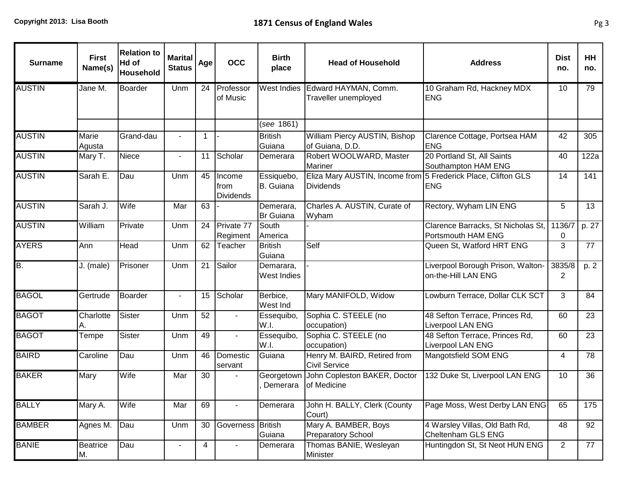| <b>Surname</b> | <b>First</b><br>Name(s) | <b>Relation to</b><br>Hd of<br>Household | <b>Marital</b><br><b>Status</b> | Age          | <b>OCC</b>                         | <b>Birth</b><br>place         | <b>Head of Household</b>                                                   | <b>Address</b>                                             | <b>Dist</b><br>no. | <b>HH</b><br>no. |
|----------------|-------------------------|------------------------------------------|---------------------------------|--------------|------------------------------------|-------------------------------|----------------------------------------------------------------------------|------------------------------------------------------------|--------------------|------------------|
| <b>AUSTIN</b>  | Jane M.                 | Boarder                                  | Unm                             | 24           | Professor<br>of Music              | <b>West Indies</b>            | Edward HAYMAN, Comm.<br>Traveller unemployed                               | 10 Graham Rd, Hackney MDX<br><b>ENG</b>                    | 10                 | 79               |
|                |                         |                                          |                                 |              |                                    | (see 1861)                    |                                                                            |                                                            |                    |                  |
| <b>AUSTIN</b>  | Marie<br>Agusta         | Grand-dau                                |                                 | $\mathbf{1}$ |                                    | <b>British</b><br>Guiana      | William Piercy AUSTIN, Bishop<br>of Guiana, D.D.                           | Clarence Cottage, Portsea HAM<br><b>ENG</b>                | 42                 | 305              |
| <b>AUSTIN</b>  | Mary T.                 | Niece                                    | $\blacksquare$                  | 11           | Scholar                            | Demerara                      | Robert WOOLWARD, Master<br><b>Mariner</b>                                  | 20 Portland St, All Saints<br>Southampton HAM ENG          | 40                 | 122a             |
| <b>AUSTIN</b>  | Sarah E.                | Dau                                      | Unm                             | 45           | Income<br>from<br><b>Dividends</b> | Essiquebo,<br>B. Guiana       | Eliza Mary AUSTIN, Income from 5 Frederick Place, Clifton GLS<br>Dividends | <b>ENG</b>                                                 | 14                 | 141              |
| <b>AUSTIN</b>  | Sarah J.                | Wife                                     | Mar                             | 63           |                                    | Demerara,<br><b>Br</b> Guiana | Charles A. AUSTIN, Curate of<br>Wyham                                      | Rectory, Wyham LIN ENG                                     | 5                  | 13               |
| <b>AUSTIN</b>  | William                 | Private                                  | Unm                             | 24           | Private 77<br>Regiment             | South<br>America              |                                                                            | Clarence Barracks, St Nicholas St,<br>Portsmouth HAM ENG   | 1136/7<br>0        | p. 27            |
| <b>AYERS</b>   | Ann                     | <b>Head</b>                              | Unm                             | 62           | Teacher                            | <b>British</b><br>Guiana      | Self                                                                       | Queen St, Watford HRT ENG                                  | 3                  | $\overline{77}$  |
| B.             | J. (male)               | Prisoner                                 | Unm                             | 21           | Sailor                             | Demarara,<br>West Indies      |                                                                            | Liverpool Borough Prison, Walton-<br>on-the-Hill LAN ENG   | 3835/8<br>2        | p. 2             |
| <b>BAGOL</b>   | Gertrude                | <b>Boarder</b>                           | $\blacksquare$                  | 15           | Scholar                            | Berbice,<br>West Ind          | Mary MANIFOLD, Widow                                                       | Lowburn Terrace, Dollar CLK SCT                            | 3                  | 84               |
| <b>BAGOT</b>   | Charlotte<br>Α.         | Sister                                   | Unm                             | 52           |                                    | Essequibo,<br>W.I.            | Sophia C. STEELE (no<br>occupation)                                        | 48 Sefton Terrace, Princes Rd,<br><b>Liverpool LAN ENG</b> | 60                 | 23               |
| <b>BAGOT</b>   | Tempe                   | Sister                                   | Unm                             | 49           |                                    | Essequibo,<br>W.I.            | Sophia C. STEELE (no<br>occupation)                                        | 48 Sefton Terrace, Princes Rd,<br><b>Liverpool LAN ENG</b> | 60                 | 23               |
| <b>BAIRD</b>   | Caroline                | Dau                                      | Unm                             | 46           | Domestic<br>servant                | Guiana                        | Henry M. BAIRD, Retired from<br><b>Civil Service</b>                       | Mangotsfield SOM ENG                                       | 4                  | 78               |
| <b>BAKER</b>   | Mary                    | Wife                                     | Mar                             | 30           |                                    | Georgetown<br>Demerara        | John Copleston BAKER, Doctor<br>of Medicine                                | 132 Duke St, Liverpool LAN ENG                             | 10                 | 36               |
| <b>BALLY</b>   | Mary A.                 | Wife                                     | Mar                             | 69           |                                    | Demerara                      | John H. BALLY, Clerk (County<br>Court)                                     | Page Moss, West Derby LAN ENG                              | 65                 | 175              |
| <b>BAMBER</b>  | Agnes M.                | Dau                                      | Unm                             | 30           | Governess British                  | Guiana                        | Mary A. BAMBER, Boys<br><b>Preparatory School</b>                          | 4 Warsley Villas, Old Bath Rd,<br>Cheltenham GLS ENG       | 48                 | 92               |
| <b>BANIE</b>   | <b>Beatrice</b><br>М.   | Dau                                      | $\overline{\phantom{a}}$        | 4            | $\blacksquare$                     | Demerara                      | Thomas BANIE, Wesleyan<br>Minister                                         | Huntingdon St, St Neot HUN ENG                             | $\overline{2}$     | 77               |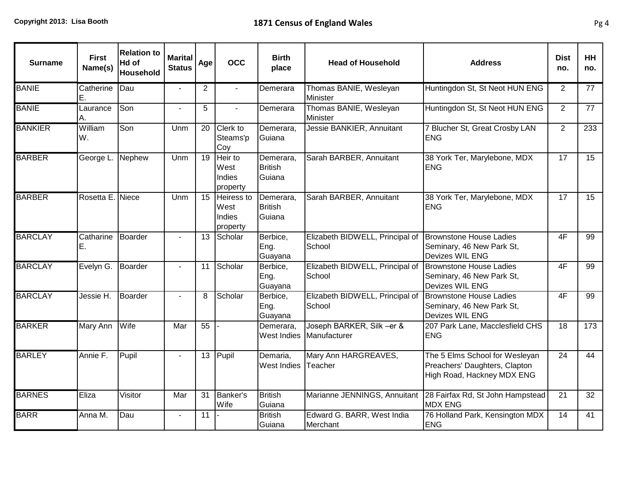| <b>Surname</b> | <b>First</b><br>Name(s) | <b>Relation to</b><br>Hd of<br><b>Household</b> | <b>Marital</b><br><b>Status</b> | Age            | <b>OCC</b>                               | <b>Birth</b><br>place                 | <b>Head of Household</b>                  | <b>Address</b>                                                                                | <b>Dist</b><br>no. | <b>HH</b><br>no. |
|----------------|-------------------------|-------------------------------------------------|---------------------------------|----------------|------------------------------------------|---------------------------------------|-------------------------------------------|-----------------------------------------------------------------------------------------------|--------------------|------------------|
| <b>BANIE</b>   | Catherine<br>Ε.         | Dau                                             |                                 | $\overline{2}$ | $\blacksquare$                           | Demerara                              | Thomas BANIE, Wesleyan<br>Minister        | Huntingdon St, St Neot HUN ENG                                                                | $\overline{2}$     | 77               |
| <b>BANIE</b>   | Laurance<br>A.          | Son                                             | $\overline{a}$                  | 5              | $\overline{a}$                           | Demerara                              | Thomas BANIE, Wesleyan<br>Minister        | Huntingdon St, St Neot HUN ENG                                                                | $\overline{2}$     | 77               |
| <b>BANKIER</b> | William<br>lw.          | Son                                             | Unm                             | 20             | Clerk to<br>Steams'p<br>Coy              | Demerara,<br>Guiana                   | Jessie BANKIER, Annuitant                 | 7 Blucher St, Great Crosby LAN<br><b>ENG</b>                                                  | $\overline{2}$     | 233              |
| <b>BARBER</b>  | George L.               | Nephew                                          | Unm                             | 19             | Heir to<br>West<br>Indies<br>property    | Demerara,<br><b>British</b><br>Guiana | Sarah BARBER, Annuitant                   | 38 York Ter, Marylebone, MDX<br><b>ENG</b>                                                    | 17                 | 15               |
| <b>BARBER</b>  | Rosetta E. Niece        |                                                 | Unm                             | 15             | Heiress to<br>West<br>Indies<br>property | Demerara,<br><b>British</b><br>Guiana | Sarah BARBER, Annuitant                   | 38 York Ter, Marylebone, MDX<br><b>ENG</b>                                                    | $\overline{17}$    | $\overline{15}$  |
| <b>BARCLAY</b> | Catharine<br>IE.        | <b>Boarder</b>                                  | $\blacksquare$                  | 13             | Scholar                                  | Berbice,<br>Eng.<br>Guayana           | Elizabeth BIDWELL, Principal of<br>School | Brownstone House Ladies<br>Seminary, 46 New Park St,<br>Devizes WIL ENG                       | 4F                 | 99               |
| <b>BARCLAY</b> | Evelyn G.               | Boarder                                         |                                 | 11             | Scholar                                  | Berbice,<br>Eng.<br>Guayana           | Elizabeth BIDWELL, Principal of<br>School | <b>Brownstone House Ladies</b><br>Seminary, 46 New Park St,<br>Devizes WIL ENG                | 4F                 | $\overline{99}$  |
| <b>BARCLAY</b> | Jessie H.               | <b>Boarder</b>                                  | $\mathbf{r}$                    | 8              | Scholar                                  | Berbice,<br>Eng.<br>Guayana           | Elizabeth BIDWELL, Principal of<br>School | <b>Brownstone House Ladies</b><br>Seminary, 46 New Park St,<br>Devizes WIL ENG                | 4F                 | 99               |
| <b>BARKER</b>  | Mary Ann                | Wife                                            | Mar                             | 55             |                                          | Demerara,<br>West Indies              | Joseph BARKER, Silk -er &<br>Manufacturer | 207 Park Lane, Macclesfield CHS<br><b>ENG</b>                                                 | 18                 | 173              |
| <b>BARLEY</b>  | Annie F.                | Pupil                                           | $\blacksquare$                  | 13             | Pupil                                    | Demaria,<br>West Indies Teacher       | Mary Ann HARGREAVES,                      | The 5 Elms School for Wesleyan<br>Preachers' Daughters, Clapton<br>High Road, Hackney MDX ENG | 24                 | 44               |
| <b>BARNES</b>  | Eliza                   | Visitor                                         | Mar                             | 31             | Banker's<br>Wife                         | <b>British</b><br>Guiana              |                                           | Marianne JENNINGS, Annuitant 28 Fairfax Rd, St John Hampstead<br><b>MDX ENG</b>               | 21                 | $\overline{32}$  |
| <b>BARR</b>    | Anna M.                 | Dau                                             | $\blacksquare$                  | 11             |                                          | <b>British</b><br>Guiana              | Edward G. BARR, West India<br>Merchant    | 76 Holland Park, Kensington MDX<br><b>ENG</b>                                                 | 14                 | 41               |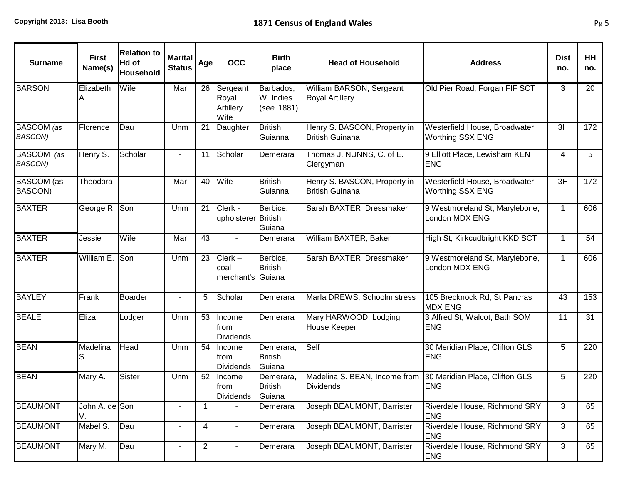| <b>Surname</b>               | <b>First</b><br>Name(s) | <b>Relation to</b><br>Hd of<br>Household | <b>Marital</b><br><b>Status</b> | Age            | <b>OCC</b>                             | <b>Birth</b><br>place                 | <b>Head of Household</b>                               | <b>Address</b>                                            | <b>Dist</b><br>no. | HH<br>no. |
|------------------------------|-------------------------|------------------------------------------|---------------------------------|----------------|----------------------------------------|---------------------------------------|--------------------------------------------------------|-----------------------------------------------------------|--------------------|-----------|
| <b>BARSON</b>                | Elizabeth<br>Α.         | Wife                                     | Mar                             | 26             | Sergeant<br>Royal<br>Artillery<br>Wife | Barbados,<br>W. Indies<br>(see 1881)  | William BARSON, Sergeant<br><b>Royal Artillery</b>     | Old Pier Road, Forgan FIF SCT                             | 3                  | 20        |
| BASCOM (as<br><b>BASCON)</b> | Florence                | Dau                                      | Unm                             | 21             | Daughter                               | <b>British</b><br>Guianna             | Henry S. BASCON, Property in<br><b>British Guinana</b> | Westerfield House, Broadwater,<br><b>Worthing SSX ENG</b> | 3H                 | 172       |
| BASCOM (as<br><b>BASCON)</b> | Henry S.                | Scholar                                  |                                 | 11             | Scholar                                | Demerara                              | Thomas J. NUNNS, C. of E.<br>Clergyman                 | 9 Elliott Place, Lewisham KEN<br><b>ENG</b>               | 4                  | 5         |
| <b>BASCOM</b> (as<br>BASCON) | Theodora                | $\blacksquare$                           | Mar                             | 40             | Wife                                   | <b>British</b><br>Guianna             | Henry S. BASCON, Property in<br><b>British Guinana</b> | Westerfield House, Broadwater,<br><b>Worthing SSX ENG</b> | 3H                 | 172       |
| <b>BAXTER</b>                | George R.               | Son                                      | Unm                             | 21             | Clerk -<br>upholsterer British         | Berbice,<br>Guiana                    | Sarah BAXTER, Dressmaker                               | 9 Westmoreland St, Marylebone,<br>London MDX ENG          | $\mathbf 1$        | 606       |
| <b>BAXTER</b>                | Jessie                  | Wife                                     | Mar                             | 43             | $\blacksquare$                         | Demerara                              | William BAXTER, Baker                                  | High St, Kirkcudbright KKD SCT                            | $\mathbf{1}$       | 54        |
| <b>BAXTER</b>                | William E.              | Son                                      | Unm                             | 23             | $Clerk -$<br>coal<br>merchant's Guiana | Berbice,<br><b>British</b>            | Sarah BAXTER, Dressmaker                               | 9 Westmoreland St, Marylebone,<br>London MDX ENG          | $\mathbf{1}$       | 606       |
| <b>BAYLEY</b>                | Frank                   | Boarder                                  |                                 | 5              | Scholar                                | Demerara                              | Marla DREWS, Schoolmistress                            | 105 Brecknock Rd, St Pancras<br><b>MDX ENG</b>            | 43                 | 153       |
| <b>BEALE</b>                 | Eliza                   | Lodger                                   | Unm                             | 53             | Income<br>from<br>Dividends            | Demerara                              | Mary HARWOOD, Lodging<br><b>House Keeper</b>           | 3 Alfred St, Walcot, Bath SOM<br>ENG                      | 11                 | 31        |
| <b>BEAN</b>                  | Madelina<br>S.          | <b>Head</b>                              | Unm                             | 54             | Income<br>from<br>Dividends            | Demerara,<br><b>British</b><br>Guiana | Self                                                   | 30 Meridian Place, Clifton GLS<br><b>ENG</b>              | 5                  | 220       |
| <b>BEAN</b>                  | Mary A.                 | Sister                                   | Unm                             | 52             | Income<br>trom<br>Dividends            | Demerara,<br><b>British</b><br>Guiana | Madelina S. BEAN, Income from<br><b>Dividends</b>      | 30 Meridian Place, Clifton GLS<br><b>ENG</b>              | 5                  | 220       |
| <b>BEAUMONT</b>              | John A. de Son<br>V.    |                                          |                                 | 1              |                                        | Demerara                              | Joseph BEAUMONT, Barrister                             | <b>Riverdale House, Richmond SRY</b><br><b>ENG</b>        | 3                  | 65        |
| <b>BEAUMONT</b>              | Mabel S.                | Dau                                      | $\overline{\phantom{0}}$        | 4              | $\overline{\phantom{a}}$               | Demerara                              | Joseph BEAUMONT, Barrister                             | Riverdale House, Richmond SRY<br><b>ENG</b>               | 3                  | 65        |
| <b>BEAUMONT</b>              | Mary M.                 | Dau                                      | $\blacksquare$                  | $\overline{2}$ | $\blacksquare$                         | Demerara                              | Joseph BEAUMONT, Barrister                             | Riverdale House, Richmond SRY<br><b>ENG</b>               | 3                  | 65        |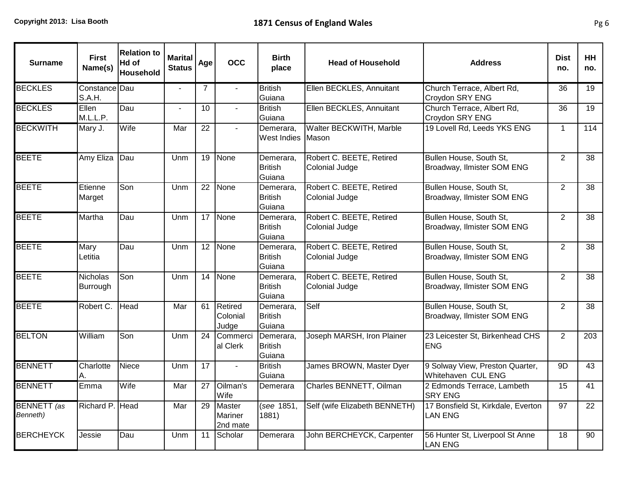| <b>Surname</b>                 | <b>First</b><br>Name(s)     | <b>Relation to</b><br>Hd of<br>Household | <b>Marital</b><br><b>Status</b> | Age             | <b>OCC</b>                    | Birth<br>place                        | <b>Head of Household</b>                          | <b>Address</b>                                        | <b>Dist</b><br>no. | <b>HH</b><br>no. |
|--------------------------------|-----------------------------|------------------------------------------|---------------------------------|-----------------|-------------------------------|---------------------------------------|---------------------------------------------------|-------------------------------------------------------|--------------------|------------------|
| <b>BECKLES</b>                 | Constance Dau<br>S.A.H.     |                                          |                                 | $\overline{7}$  | $\blacksquare$                | <b>British</b><br>Guiana              | Ellen BECKLES, Annuitant                          | Church Terrace, Albert Rd,<br>Croydon SRY ENG         | 36                 | 19               |
| <b>BECKLES</b>                 | Ellen<br>M.L.L.P.           | Dau                                      |                                 | 10              |                               | <b>British</b><br>Guiana              | Ellen BECKLES, Annuitant                          | Church Terrace, Albert Rd,<br>Croydon SRY ENG         | 36                 | 19               |
| <b>BECKWITH</b>                | Mary J.                     | Wife                                     | Mar                             | $\overline{22}$ | $\mathbf{r}$                  | Demerara,<br>West Indies              | Walter BECKWITH, Marble<br>Mason                  | 19 Lovell Rd, Leeds YKS ENG                           | $\mathbf{1}$       | 114              |
| <b>BEETE</b>                   | Amy Eliza                   | Dau                                      | Unm                             | 19              | None                          | Demerara,<br><b>British</b><br>Guiana | Robert C. BEETE, Retired<br><b>Colonial Judge</b> | Bullen House, South St,<br>Broadway, Ilmister SOM ENG | 2                  | 38               |
| <b>BEETE</b>                   | Etienne<br>Marget           | Son                                      | Unm                             | $\overline{22}$ | None                          | Demerara,<br><b>British</b><br>Guiana | Robert C. BEETE, Retired<br>Colonial Judge        | Bullen House, South St,<br>Broadway, Ilmister SOM ENG | 2                  | 38               |
| <b>BEETE</b>                   | Martha                      | Dau                                      | Unm                             | 17              | None                          | Demerara,<br><b>British</b><br>Guiana | Robert C. BEETE, Retired<br>Colonial Judge        | Bullen House, South St,<br>Broadway, Ilmister SOM ENG | 2                  | 38               |
| <b>BEETE</b>                   | Mary<br>Letitia             | Dau                                      | Unm                             | $\overline{12}$ | None                          | Demerara,<br><b>British</b><br>Guiana | Robert C. BEETE, Retired<br>Colonial Judge        | Bullen House, South St,<br>Broadway, Ilmister SOM ENG | $\overline{2}$     | $\overline{38}$  |
| <b>BEETE</b>                   | <b>Nicholas</b><br>Burrough | Son                                      | Unm                             | 14              | None                          | Demerara,<br><b>British</b><br>Guiana | Robert C. BEETE, Retired<br><b>Colonial Judge</b> | Bullen House, South St,<br>Broadway, Ilmister SOM ENG | 2                  | 38               |
| <b>BEETE</b>                   | Robert C.                   | Head                                     | Mar                             | 61              | Retired<br>Colonial<br>Judge  | Demerara,<br><b>British</b><br>Guiana | Self                                              | Bullen House, South St,<br>Broadway, Ilmister SOM ENG | 2                  | 38               |
| <b>BELTON</b>                  | William                     | Son                                      | Unm                             | 24              | Commerci<br>al Clerk          | Demerara,<br><b>British</b><br>Guiana | Joseph MARSH, Iron Plainer                        | 23 Leicester St, Birkenhead CHS<br><b>ENG</b>         | 2                  | 203              |
| <b>BENNETT</b>                 | Charlotte<br>A.             | Niece                                    | Unm                             | $\overline{17}$ | $\sim$                        | <b>British</b><br>Guiana              | James BROWN, Master Dyer                          | 9 Solway View, Preston Quarter,<br>Whitehaven CUL ENG | 9D                 | 43               |
| <b>BENNETT</b>                 | Emma                        | Wife                                     | Mar                             | 27              | Oilman's<br>Wife              | Demerara                              | Charles BENNETT, Oilman                           | 2 Edmonds Terrace, Lambeth<br><b>SRY ENG</b>          | 15                 | 41               |
| <b>BENNETT</b> (as<br>Benneth) | Richard P. Head             |                                          | Mar                             | 29              | Master<br>Mariner<br>2nd mate | (see 1851,<br>1881)                   | Self (wife Elizabeth BENNETH)                     | 17 Bonsfield St, Kirkdale, Everton<br>LAN ENG         | $\overline{97}$    | $\overline{22}$  |
| <b>BERCHEYCK</b>               | Jessie                      | Dau                                      | Unm                             | 11              | Scholar                       | Demerara                              | John BERCHEYCK, Carpenter                         | 56 Hunter St, Liverpool St Anne<br><b>LAN ENG</b>     | 18                 | $\overline{90}$  |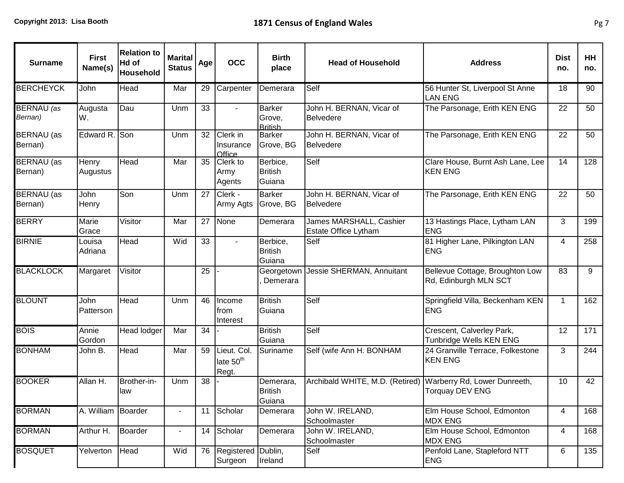| <b>Surname</b>               | <b>First</b><br>Name(s)  | <b>Relation to</b><br>Hd of<br><b>Household</b> | <b>Marital</b><br><b>Status</b> | Age | <b>OCC</b>                                    | <b>Birth</b><br>place                     | <b>Head of Household</b>                                     | <b>Address</b>                                           | <b>Dist</b><br>no. | <b>HH</b><br>no. |
|------------------------------|--------------------------|-------------------------------------------------|---------------------------------|-----|-----------------------------------------------|-------------------------------------------|--------------------------------------------------------------|----------------------------------------------------------|--------------------|------------------|
| <b>BERCHEYCK</b>             | John                     | Head                                            | Mar                             | 29  | Carpenter                                     | Demerara                                  | Self                                                         | 56 Hunter St, Liverpool St Anne<br><b>LAN ENG</b>        | 18                 | 90               |
| <b>BERNAU</b> (as<br>Bernan) | Augusta<br>IW.           | Dau                                             | Unm                             | 33  |                                               | <b>Barker</b><br>Grove,<br><b>British</b> | John H. BERNAN, Vicar of<br><b>Belvedere</b>                 | The Parsonage, Erith KEN ENG                             | 22                 | 50               |
| BERNAU (as<br>Bernan)        | Edward R. Son            |                                                 | Unm                             | 32  | Clerk in<br>Insurance<br>Office               | <b>Barker</b><br>Grove, BG                | John H. BERNAN, Vicar of<br><b>Belvedere</b>                 | The Parsonage, Erith KEN ENG                             | 22                 | 50               |
| <b>BERNAU</b> (as<br>Bernan) | <b>Henry</b><br>Augustus | Head                                            | Mar                             | 35  | Clerk to<br>Army<br>Agents                    | Berbice,<br><b>British</b><br>Guiana      | Self                                                         | Clare House, Burnt Ash Lane, Lee<br><b>KEN ENG</b>       | 14                 | 128              |
| BERNAU (as<br>Bernan)        | John<br><b>Henry</b>     | Son                                             | Unm                             | 27  | Clerk -<br>Army Agts                          | <b>Barker</b><br>Grove, BG                | John H. BERNAN, Vicar of<br><b>Belvedere</b>                 | The Parsonage, Erith KEN ENG                             | 22                 | 50               |
| <b>BERRY</b>                 | Marie<br>Grace           | Visitor                                         | Mar                             | 27  | None                                          | Demerara                                  | James MARSHALL, Cashier<br>Estate Office Lytham              | 13 Hastings Place, Lytham LAN<br><b>ENG</b>              | 3                  | 199              |
| <b>BIRNIE</b>                | Louisa<br>Adriana        | Head                                            | Wid                             | 33  |                                               | Berbice,<br><b>British</b><br>Guiana      | Self                                                         | 81 Higher Lane, Pilkington LAN<br><b>ENG</b>             | 4                  | 258              |
| <b>BLACKLOCK</b>             | Margaret                 | Visitor                                         |                                 | 25  |                                               | Georgetown<br>Demerara                    | Jessie SHERMAN, Annuitant                                    | Bellevue Cottage, Broughton Low<br>Rd, Edinburgh MLN SCT | 83                 | 9                |
| <b>BLOUNT</b>                | John<br>Patterson        | Head                                            | Unm                             | 46  | Income<br>from<br>Interest                    | <b>British</b><br>Guiana                  | Self                                                         | Springfield Villa, Beckenham KEN<br><b>ENG</b>           | $\mathbf{1}$       | 162              |
| <b>BOIS</b>                  | Annie<br>Gordon          | <b>Head lodger</b>                              | Mar                             | 34  |                                               | <b>British</b><br>Guiana                  | Self                                                         | Crescent, Calverley Park,<br>Tunbridge Wells KEN ENG     | 12                 | 171              |
| <b>BONHAM</b>                | John B.                  | <b>Head</b>                                     | Mar                             | 59  | Lieut. Col.<br>late 50 <sup>th</sup><br>Regt. | Suriname                                  | Self (wife Ann H. BONHAM                                     | 24 Granville Terrace, Folkestone<br><b>KEN ENG</b>       | 3                  | 244              |
| <b>BOOKER</b>                | Allan H.                 | Brother-in-<br>law                              | Unm                             | 38  |                                               | Demerara,<br><b>British</b><br>Guiana     | Archibald WHITE, M.D. (Retired) Warberry Rd, Lower Dunreeth, | <b>Torquay DEV ENG</b>                                   | 10                 | 42               |
| <b>BORMAN</b>                | A. William Boarder       |                                                 |                                 | 11  | Scholar                                       | Demerara                                  | John W. IRELAND,<br>Schoolmaster                             | Elm House School, Edmonton<br><b>MDX ENG</b>             | 4                  | 168              |
| <b>BORMAN</b>                | Arthur H.                | Boarder                                         | $\overline{\phantom{a}}$        | 14  | Scholar                                       | Demerara                                  | John W. IRELAND,<br>Schoolmaster                             | Elm House School, Edmonton<br><b>MDX ENG</b>             | 4                  | 168              |
| <b>BOSQUET</b>               | Yelverton                | Head                                            | Wid                             | 76  | Registered Dublin,<br>Surgeon                 | Ireland                                   | Self                                                         | Penfold Lane, Stapleford NTT<br><b>ENG</b>               | 6                  | 135              |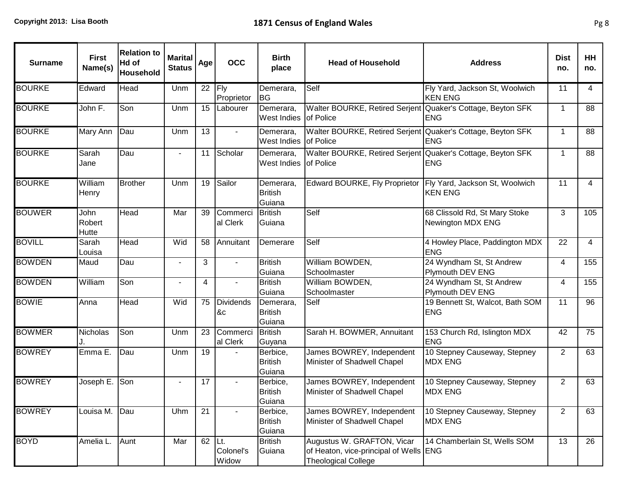| <b>Surname</b> | <b>First</b><br>Name(s) | <b>Relation to</b><br>Hd of<br><b>Household</b> | <b>Marital</b><br><b>Status</b> | Age             | <b>OCC</b>             | <b>Birth</b><br>place                 | <b>Head of Household</b>                                                                             | <b>Address</b>                                            | <b>Dist</b><br>no. | HH<br>no. |
|----------------|-------------------------|-------------------------------------------------|---------------------------------|-----------------|------------------------|---------------------------------------|------------------------------------------------------------------------------------------------------|-----------------------------------------------------------|--------------------|-----------|
| <b>BOURKE</b>  | Edward                  | Head                                            | Unm                             | 22              | Fly<br>Proprietor      | Demerara,<br> BG                      | Self                                                                                                 | Fly Yard, Jackson St, Woolwich<br><b>KEN ENG</b>          | 11                 | 4         |
| <b>BOURKE</b>  | John F.                 | Son                                             | Unm                             | 15              | Labourer               | Demerara,<br>West Indies of Police    | Walter BOURKE, Retired Serjent Quaker's Cottage, Beyton SFK                                          | <b>ENG</b>                                                | $\mathbf{1}$       | 88        |
| <b>BOURKE</b>  | Mary Ann                | Dau                                             | Unm                             | $\overline{13}$ | $\sim$                 | Demerara,<br>West Indies of Police    | Walter BOURKE, Retired Serjent Quaker's Cottage, Beyton SFK                                          | <b>ENG</b>                                                | $\mathbf{1}$       | 88        |
| <b>BOURKE</b>  | Sarah<br>Jane           | Dau                                             | $\blacksquare$                  | 11              | Scholar                | Demerara,<br>West Indies              | Walter BOURKE, Retired Serjent Quaker's Cottage, Beyton SFK<br><b>of Police</b>                      | <b>ENG</b>                                                | $\mathbf{1}$       | 88        |
| <b>BOURKE</b>  | William<br>Henry        | <b>Brother</b>                                  | Unm                             | 19              | Sailor                 | Demerara,<br><b>British</b><br>Guiana | Edward BOURKE, Fly Proprietor                                                                        | Fly Yard, Jackson St, Woolwich<br><b>KEN ENG</b>          | 11                 | 4         |
| <b>BOUWER</b>  | John<br>Robert<br>Hutte | Head                                            | Mar                             | 39              | Commerci<br>al Clerk   | <b>British</b><br>Guiana              | Self                                                                                                 | 68 Clissold Rd, St Mary Stoke<br><b>Newington MDX ENG</b> | 3                  | 105       |
| <b>BOVILL</b>  | Sarah<br>Louisa         | Head                                            | Wid                             | 58              | Annuitant              | Demerare                              | Self                                                                                                 | 4 Howley Place, Paddington MDX<br><b>ENG</b>              | 22                 | 4         |
| <b>BOWDEN</b>  | Maud                    | Dau                                             | $\blacksquare$                  | 3               | $\blacksquare$         | <b>British</b><br>Guiana              | William BOWDEN,<br>Schoolmaster                                                                      | 24 Wyndham St, St Andrew<br>Plymouth DEV ENG              | 4                  | 155       |
| <b>BOWDEN</b>  | William                 | Son                                             | $\blacksquare$                  | $\overline{4}$  | $\blacksquare$         | <b>British</b><br>Guiana              | William BOWDEN,<br>Schoolmaster                                                                      | 24 Wyndham St, St Andrew<br>Plymouth DEV ENG              | 4                  | 155       |
| <b>BOWIE</b>   | Anna                    | Head                                            | Wid                             | 75              | <b>Dividends</b><br>&c | Demerara,<br><b>British</b><br>Guiana | Self                                                                                                 | 19 Bennett St, Walcot, Bath SOM<br><b>ENG</b>             | 11                 | 96        |
| <b>BOWMER</b>  | Nicholas                | Son                                             | Unm                             | 23              | Commerci<br>al Clerk   | <b>British</b><br>Guyana              | Sarah H. BOWMER, Annuitant                                                                           | 153 Church Rd, Islington MDX<br><b>ENG</b>                | 42                 | 75        |
| <b>BOWREY</b>  | Emma E.                 | $\overline{D}$ au                               | Unm                             | 19              |                        | Berbice,<br><b>British</b><br>Guiana  | James BOWREY, Independent<br>Minister of Shadwell Chapel                                             | 10 Stepney Causeway, Stepney<br><b>MDX ENG</b>            | 2                  | 63        |
| <b>BOWREY</b>  | Joseph E.               | Son                                             | $\overline{a}$                  | 17              |                        | Berbice,<br><b>British</b><br>Guiana  | James BOWREY, Independent<br>Minister of Shadwell Chapel                                             | 10 Stepney Causeway, Stepney<br><b>MDX ENG</b>            | 2                  | 63        |
| <b>BOWREY</b>  | Louisa M.               | Dau                                             | Uhm                             | 21              |                        | Berbice,<br><b>British</b><br>Guiana  | James BOWREY, Independent<br>Minister of Shadwell Chapel                                             | 10 Stepney Causeway, Stepney<br><b>MDX ENG</b>            | $\overline{2}$     | 63        |
| <b>BOYD</b>    | Amelia L.               | Aunt                                            | Mar                             | 62 Lt.          | Colonel's<br>Widow     | <b>British</b><br>Guiana              | Augustus W. GRAFTON, Vicar<br>of Heaton, vice-principal of Wells   ENG<br><b>Theological College</b> | 14 Chamberlain St, Wells SOM                              | 13                 | 26        |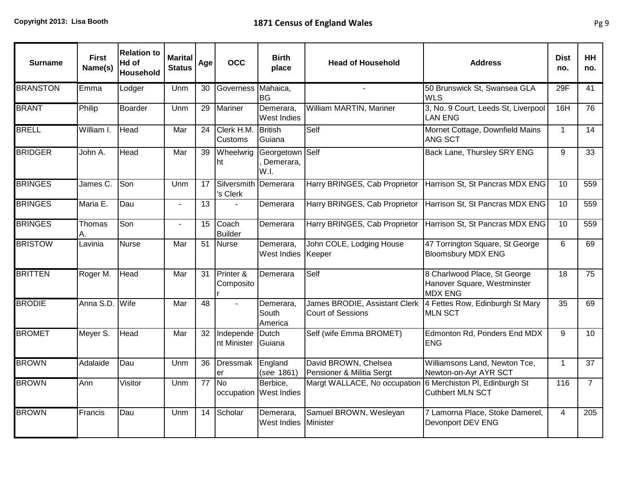| <b>Surname</b>  | <b>First</b><br>Name(s) | <b>Relation to</b><br>Hd of<br>Household | <b>Marital</b><br><b>Status</b> | Age             | <b>OCC</b>                       | <b>Birth</b><br>place                | <b>Head of Household</b>                                  | <b>Address</b>                                                                | <b>Dist</b><br>no. | <b>HH</b><br>no. |
|-----------------|-------------------------|------------------------------------------|---------------------------------|-----------------|----------------------------------|--------------------------------------|-----------------------------------------------------------|-------------------------------------------------------------------------------|--------------------|------------------|
| <b>BRANSTON</b> | Emma                    | Lodger                                   | Unm                             | 30              | Governess                        | Mahaica,<br><b>BG</b>                |                                                           | 50 Brunswick St, Swansea GLA<br><b>WLS</b>                                    | 29F                | 41               |
| <b>BRANT</b>    | Philip                  | <b>Boarder</b>                           | Unm                             | 29              | <b>Mariner</b>                   | Demerara,<br>West Indies             | William MARTIN, Mariner                                   | 3, No. 9 Court, Leeds St, Liverpool<br><b>LAN ENG</b>                         | 16H                | 76               |
| <b>BRELL</b>    | William I.              | Head                                     | Mar                             | 24              | Clerk H.M<br>Customs             | <b>British</b><br>Guiana             | Self                                                      | Mornet Cottage, Downfield Mains<br>ANG SCT                                    | $\mathbf{1}$       | 14               |
| <b>BRIDGER</b>  | John A.                 | Head                                     | Mar                             | 39              | Wheelwrig<br>ht                  | Georgetown Self<br>Demerara,<br>W.I. |                                                           | Back Lane, Thursley SRY ENG                                                   | 9                  | 33               |
| <b>BRINGES</b>  | James C.                | Son                                      | Unm                             | 17              | Silversmith Demerara<br>'s Clerk |                                      | Harry BRINGES, Cab Proprietor                             | Harrison St, St Pancras MDX ENG                                               | 10                 | 559              |
| <b>BRINGES</b>  | Maria E.                | Dau                                      | $\mathbf{r}$                    | 13              |                                  | Demerara                             | Harry BRINGES, Cab Proprietor                             | Harrison St, St Pancras MDX ENG                                               | 10                 | 559              |
| <b>BRINGES</b>  | Thomas<br>Α.            | Son                                      | $\blacksquare$                  | 15              | Coach<br><b>Builder</b>          | Demerara                             | Harry BRINGES, Cab Proprietor                             | Harrison St, St Pancras MDX ENG                                               | 10                 | 559              |
| <b>BRISTOW</b>  | Lavinia                 | <b>Nurse</b>                             | Mar                             | 51              | <b>Nurse</b>                     | Demerara,<br>West Indies Keeper      | John COLE, Lodging House                                  | 47 Torrington Square, St George<br><b>Bloomsbury MDX ENG</b>                  | 6                  | 69               |
| <b>BRITTEN</b>  | Roger M.                | Head                                     | Mar                             | 31              | Printer &<br>Composito           | Demerara                             | Self                                                      | 8 Charlwood Place, St George<br>Hanover Square, Westminster<br><b>MDX ENG</b> | 18                 | $\overline{75}$  |
| <b>BRODIE</b>   | Anna S.D.               | Wife                                     | Mar                             | 48              | $\overline{a}$                   | Demerara,<br>South<br>America        | James BRODIE, Assistant Clerk<br><b>Court of Sessions</b> | 4 Fettes Row, Edinburgh St Mary<br><b>MLN SCT</b>                             | 35                 | 69               |
| <b>BROMET</b>   | Meyer S.                | Head                                     | Mar                             | 32              | Independe<br>nt Minister         | Dutch<br>Guiana                      | Self (wife Emma BROMET)                                   | Edmonton Rd, Ponders End MDX<br><b>ENG</b>                                    | 9                  | 10 <sup>1</sup>  |
| <b>BROWN</b>    | Adalaide                | Dau                                      | Unm                             | 36              | <b>Dressmak</b><br>er            | England<br>(see 1861)                | David BROWN, Chelsea<br>Pensioner & Militia Sergt         | Williamsons Land, Newton Tce,<br>Newton-on-Ayr AYR SCT                        | $\mathbf{1}$       | 37               |
| <b>BROWN</b>    | Ann                     | Visitor                                  | Unm                             | $\overline{77}$ | No                               | Berbice,<br>occupation West Indies   | Margt WALLACE, No occupation                              | 6 Merchiston PI, Edinburgh St<br><b>Cuthbert MLN SCT</b>                      | 116                | $\overline{7}$   |
| <b>BROWN</b>    | Francis                 | Dau                                      | Unm                             | 14              | Scholar                          | Demerara,<br>West Indies             | Samuel BROWN, Wesleyan<br><b>IMinister</b>                | 7 Lamorna Place, Stoke Damerel,<br>Devonport DEV ENG                          | 4                  | 205              |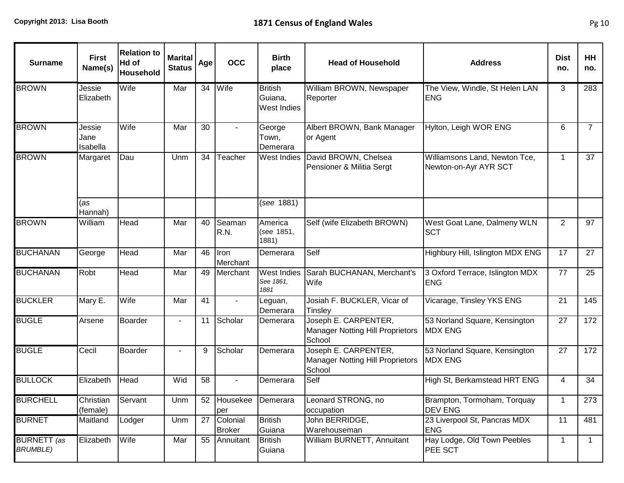| <b>Surname</b>                        | <b>First</b><br>Name(s)    | <b>Relation to</b><br>Hd of<br>Household | <b>Marital</b><br><b>Status</b> | Age | <b>OCC</b>                | <b>Birth</b><br>place                    | <b>Head of Household</b>                                                  | <b>Address</b>                                         | <b>Dist</b><br>no. | HH<br>no.      |
|---------------------------------------|----------------------------|------------------------------------------|---------------------------------|-----|---------------------------|------------------------------------------|---------------------------------------------------------------------------|--------------------------------------------------------|--------------------|----------------|
| <b>BROWN</b>                          | Jessie<br>Elizabeth        | Wife                                     | Mar                             | 34  | Wife                      | <b>British</b><br>Guiana,<br>West Indies | William BROWN, Newspaper<br>Reporter                                      | The View, Windle, St Helen LAN<br><b>ENG</b>           | 3                  | 283            |
| <b>BROWN</b>                          | Jessie<br>Jane<br>Isabella | Wife                                     | Mar                             | 30  |                           | George<br>Town,<br>Demerara              | Albert BROWN, Bank Manager<br>or Agent                                    | Hylton, Leigh WOR ENG                                  | 6                  | $\overline{7}$ |
| <b>BROWN</b>                          | Margaret                   | Dau                                      | Unm                             | 34  | Teacher                   | West Indies                              | David BROWN, Chelsea<br>Pensioner & Militia Sergt                         | Williamsons Land, Newton Tce,<br>Newton-on-Ayr AYR SCT | 1                  | 37             |
|                                       | (as<br>Hannah)             |                                          |                                 |     |                           | (see 1881)                               |                                                                           |                                                        |                    |                |
| <b>BROWN</b>                          | William                    | Head                                     | Mar                             | 40  | Seaman<br>R.N.            | America<br>(see 1851,<br>1881)           | Self (wife Elizabeth BROWN)                                               | West Goat Lane, Dalmeny WLN<br><b>SCT</b>              | 2                  | 97             |
| <b>BUCHANAN</b>                       | George                     | Head                                     | Mar                             | 46  | Iron<br>Merchant          | Demerara                                 | Self                                                                      | Highbury Hill, Islington MDX ENG                       | 17                 | 27             |
| <b>BUCHANAN</b>                       | Robt                       | Head                                     | Mar                             | 49  | Merchant                  | <b>West Indies</b><br>See 1861,<br>1881  | Sarah BUCHANAN, Merchant's<br>Wife                                        | 3 Oxford Terrace, Islington MDX<br><b>ENG</b>          | 77                 | 25             |
| <b>BUCKLER</b>                        | Mary E.                    | Wife                                     | Mar                             | 41  | ÷.                        | Leguan,<br>Demerara                      | Josiah F. BUCKLER, Vicar of<br>Tinsley                                    | Vicarage, Tinsley YKS ENG                              | 21                 | 145            |
| <b>BUGLE</b>                          | Arsene                     | Boarder                                  |                                 | 11  | Scholar                   | Demerara                                 | Joseph E. CARPENTER,<br><b>Manager Notting Hill Proprietors</b><br>School | 53 Norland Square, Kensington<br><b>MDX ENG</b>        | 27                 | 172            |
| <b>BUGLE</b>                          | Cecil                      | Boarder                                  | $\blacksquare$                  | 9   | Scholar                   | Demerara                                 | Joseph E. CARPENTER,<br><b>Manager Notting Hill Proprietors</b><br>School | 53 Norland Square, Kensington<br><b>MDX ENG</b>        | 27                 | 172            |
| <b>BULLOCK</b>                        | Elizabeth                  | Head                                     | Wid                             | 58  | ٠                         | Demerara                                 | Self                                                                      | High St, Berkamstead HRT ENG                           | 4                  | 34             |
| <b>BURCHELL</b>                       | Christian<br>(female)      | Servant                                  | Unm                             |     | 52 Housekee<br>per        | Demerara                                 | Leonard STRONG, no<br>occupation                                          | Brampton, Tormoham, Torquay<br><b>DEV ENG</b>          | 1                  | 273            |
| <b>BURNET</b>                         | Maitland                   | Lodger                                   | Unm                             | 27  | Colonial<br><b>Broker</b> | <b>British</b><br>Guiana                 | John BERRIDGE,<br>Warehouseman                                            | 23 Liverpool St, Pancras MDX<br><b>ENG</b>             | 11                 | 481            |
| <b>BURNETT</b> (as<br><b>BRUMBLE)</b> | Elizabeth                  | Wife                                     | Mar                             | 55  | Annuitant                 | <b>British</b><br>Guiana                 | William BURNETT, Annuitant                                                | Hay Lodge, Old Town Peebles<br>PEE SCT                 | 1                  | $\mathbf{1}$   |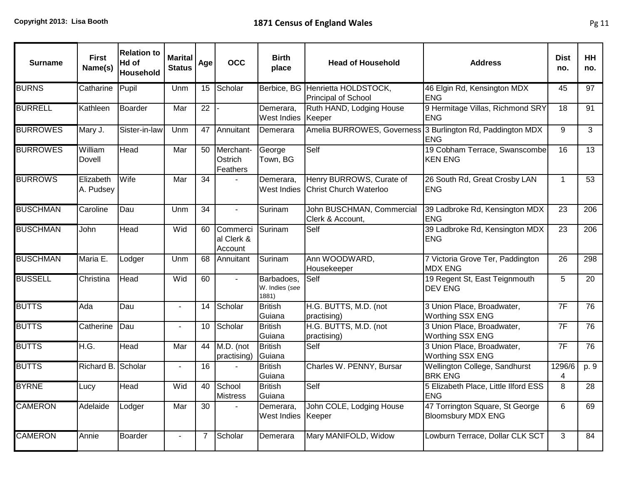| <b>Surname</b>  | <b>First</b><br>Name(s) | <b>Relation to</b><br>Hd of<br>Household | <b>Marital</b><br><b>Status</b> | Age             | <b>OCC</b>                        | <b>Birth</b><br>place                 | <b>Head of Household</b>                                  | <b>Address</b>                                                           | <b>Dist</b><br>no. | <b>HH</b><br>no. |
|-----------------|-------------------------|------------------------------------------|---------------------------------|-----------------|-----------------------------------|---------------------------------------|-----------------------------------------------------------|--------------------------------------------------------------------------|--------------------|------------------|
| <b>BURNS</b>    | Catharine               | Pupil                                    | Unm                             | 15              | Scholar                           | Berbice, BG                           | Henrietta HOLDSTOCK,<br><b>Principal of School</b>        | 46 Elgin Rd, Kensington MDX<br><b>ENG</b>                                | 45                 | 97               |
| <b>BURRELL</b>  | Kathleen                | <b>Boarder</b>                           | Mar                             | 22              |                                   | Demerara,<br>West Indies              | Ruth HAND, Lodging House<br>Keeper                        | 9 Hermitage Villas, Richmond SRY<br><b>ENG</b>                           | 18                 | 91               |
| <b>BURROWES</b> | Mary J.                 | Sister-in-law                            | Unm                             | 47              | Annuitant                         | Demerara                              |                                                           | Amelia BURROWES, Governess 3 Burlington Rd, Paddington MDX<br><b>ENG</b> | 9                  | 3                |
| <b>BURROWES</b> | William<br>Dovell       | Head                                     | Mar                             | 50              | Merchant-<br>Ostrich<br>Feathers  | George<br>Town, BG                    | Self                                                      | 19 Cobham Terrace, Swanscombe<br><b>KEN ENG</b>                          | 16                 | 13               |
| <b>BURROWS</b>  | Elizabeth<br>A. Pudsey  | Wife                                     | Mar                             | 34              |                                   | Demerara,<br>West Indies              | Henry BURROWS, Curate of<br><b>Christ Church Waterloo</b> | 26 South Rd, Great Crosby LAN<br><b>ENG</b>                              | $\mathbf{1}$       | 53               |
| <b>BUSCHMAN</b> | Caroline                | Dau                                      | Unm                             | 34              | $\mathbf{L}$                      | Surinam                               | John BUSCHMAN, Commercial<br>Clerk & Account,             | 39 Ladbroke Rd, Kensington MDX<br><b>ENG</b>                             | 23                 | 206              |
| <b>BUSCHMAN</b> | John                    | Head                                     | Wid                             | 60              | Commerci<br>al Clerk &<br>Account | Surinam                               | Self                                                      | 39 Ladbroke Rd, Kensington MDX<br><b>ENG</b>                             | 23                 | 206              |
| <b>BUSCHMAN</b> | Maria E.                | Lodger                                   | Unm                             | 68              | Annuitant                         | Surinam                               | Ann WOODWARD,<br>Housekeeper                              | 7 Victoria Grove Ter, Paddington<br><b>MDX ENG</b>                       | 26                 | 298              |
| <b>BUSSELL</b>  | Christina               | Head                                     | Wid                             | 60              | $\blacksquare$                    | Barbadoes,<br>W. Indies (see<br>1881) | Self                                                      | 19 Regent St, East Teignmouth<br><b>DEV ENG</b>                          | 5                  | 20               |
| <b>BUTTS</b>    | Ada                     | Dau                                      | $\blacksquare$                  | 14              | Scholar                           | <b>British</b><br>Guiana              | H.G. BUTTS, M.D. (not<br>practising)                      | 3 Union Place, Broadwater,<br>Worthing SSX ENG                           | 7F                 | 76               |
| <b>BUTTS</b>    | Catherine               | Dau                                      | $\overline{a}$                  | 10              | Scholar                           | <b>British</b><br>Guiana              | H.G. BUTTS, M.D. (not<br>practising)                      | 3 Union Place, Broadwater,<br>Worthing SSX ENG                           | 7F                 | 76               |
| <b>BUTTS</b>    | H.G.                    | <b>Head</b>                              | Mar                             | 44              | M.D. (not<br>practising)          | <b>British</b><br>Guiana              | Self                                                      | 3 Union Place, Broadwater,<br>Worthing SSX ENG                           | 7F                 | $\overline{76}$  |
| <b>BUTTS</b>    | Richard B. Scholar      |                                          | $\blacksquare$                  | 16              |                                   | <b>British</b><br>Guiana              | Charles W. PENNY, Bursar                                  | Wellington College, Sandhurst<br><b>BRK ENG</b>                          | 1296/6<br>4        | p. 9             |
| <b>BYRNE</b>    | Lucy                    | Head                                     | Wid                             | 40              | School<br><b>Mistress</b>         | <b>British</b><br>Guiana              | Self                                                      | 5 Elizabeth Place, Little Ilford ESS<br><b>ENG</b>                       | $\overline{8}$     | 28               |
| <b>CAMERON</b>  | Adelaide                | Lodger                                   | Mar                             | $\overline{30}$ |                                   | Demerara.<br>West Indies              | John COLE, Lodging House<br>Keeper                        | 47 Torrington Square, St George<br><b>Bloomsbury MDX ENG</b>             | 6                  | 69               |
| <b>CAMERON</b>  | Annie                   | <b>Boarder</b>                           |                                 | $\overline{7}$  | Scholar                           | Demerara                              | Mary MANIFOLD, Widow                                      | Lowburn Terrace, Dollar CLK SCT                                          | 3                  | 84               |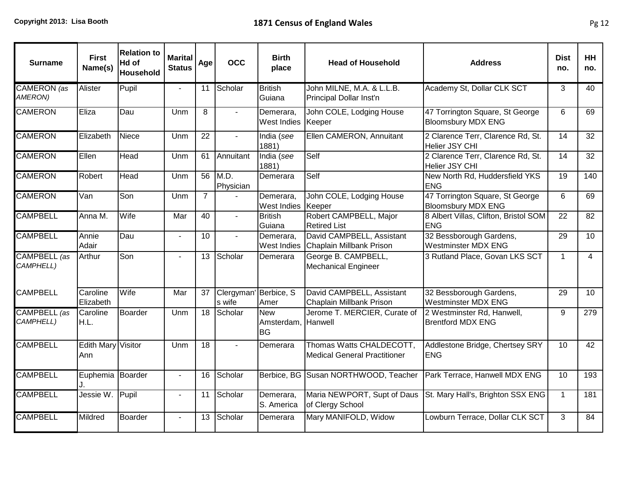| <b>Surname</b>            | <b>First</b><br>Name(s)          | <b>Relation to</b><br>Hd of<br>Household | <b>Marital</b><br><b>Status</b> | Age             | <b>OCC</b>                      | <b>Birth</b><br>place                 | <b>Head of Household</b>                                        | <b>Address</b>                                               | <b>Dist</b><br>no. | <b>HH</b><br>no. |
|---------------------------|----------------------------------|------------------------------------------|---------------------------------|-----------------|---------------------------------|---------------------------------------|-----------------------------------------------------------------|--------------------------------------------------------------|--------------------|------------------|
| CAMERON (as<br>AMERON)    | Alister                          | Pupil                                    | $\blacksquare$                  | 11              | Scholar                         | <b>British</b><br>Guiana              | John MILNE, M.A. & L.L.B.<br>Principal Dollar Inst'n            | Academy St, Dollar CLK SCT                                   | 3                  | 40               |
| <b>CAMERON</b>            | Eliza                            | Dau                                      | Unm                             | 8               | $\blacksquare$                  | Demerara,<br>West Indies              | John COLE, Lodging House<br>Keeper                              | 47 Torrington Square, St George<br><b>Bloomsbury MDX ENG</b> | 6                  | 69               |
| <b>CAMERON</b>            | Elizabeth                        | <b>Niece</b>                             | Unm                             | 22              | $\mathcal{L}^{\mathcal{A}}$     | India (see<br>1881)                   | Ellen CAMERON, Annuitant                                        | 2 Clarence Terr, Clarence Rd, St.<br>Helier JSY CHI          | 14                 | 32               |
| <b>CAMERON</b>            | Ellen                            | Head                                     | Unm                             | 61              | Annuitant                       | India (see<br>1881)                   | Self                                                            | 2 Clarence Terr, Clarence Rd, St.<br>Helier JSY CHI          | $\overline{14}$    | $\overline{32}$  |
| <b>CAMERON</b>            | Robert                           | Head                                     | Unm                             | 56              | M.D.<br>Physician               | Demerara                              | Self                                                            | New North Rd, Huddersfield YKS<br><b>ENG</b>                 | 19                 | 140              |
| <b>CAMERON</b>            | Van                              | Son                                      | Unm                             | $\overline{7}$  |                                 | Demerara,<br><b>West Indies</b>       | John COLE, Lodging House<br>Keeper                              | 47 Torrington Square, St George<br><b>Bloomsbury MDX ENG</b> | 6                  | 69               |
| <b>CAMPBELL</b>           | Anna M.                          | Wife                                     | Mar                             | 40              |                                 | <b>British</b><br>Guiana              | Robert CAMPBELL, Major<br><b>Retired List</b>                   | 8 Albert Villas, Clifton, Bristol SOM<br><b>ENG</b>          | 22                 | 82               |
| <b>CAMPBELL</b>           | Annie<br>Adair                   | Dau                                      | $\sim$                          | 10              | $\mathbf{r}$                    | Demerara,<br><b>West Indies</b>       | David CAMPBELL, Assistant<br>Chaplain Millbank Prison           | 32 Bessborough Gardens,<br><b>Westminster MDX ENG</b>        | 29                 | $\overline{10}$  |
| CAMPBELL (as<br>CAMPHELL) | Arthur                           | Son                                      | $\blacksquare$                  | 13              | Scholar                         | Demerara                              | George B. CAMPBELL,<br><b>Mechanical Engineer</b>               | 3 Rutland Place, Govan LKS SCT                               | $\mathbf{1}$       | $\overline{4}$   |
| <b>CAMPBELL</b>           | <b>Caroline</b><br>Elizabeth     | Wife                                     | Mar                             | 37              | Clergyman' Berbice, S<br>s wife | Amer                                  | David CAMPBELL, Assistant<br><b>Chaplain Millbank Prison</b>    | 32 Bessborough Gardens,<br><b>Westminster MDX ENG</b>        | 29                 | 10               |
| CAMPBELL (as<br>CAMPHELL) | <b>Caroline</b><br>IH.L.         | <b>Boarder</b>                           | Unm                             | $\overline{18}$ | Scholar                         | <b>New</b><br>Amsterdam,<br><b>BG</b> | Jerome T. MERCIER, Curate of<br><b>Hanwell</b>                  | 2 Westminster Rd, Hanwell,<br><b>Brentford MDX ENG</b>       | 9                  | $\overline{279}$ |
| <b>CAMPBELL</b>           | <b>Edith Mary Visitor</b><br>Ann |                                          | Unm                             | 18              | $\mathbf{r}$                    | Demerara                              | Thomas Watts CHALDECOTT,<br><b>Medical General Practitioner</b> | Addlestone Bridge, Chertsey SRY<br><b>ENG</b>                | 10                 | 42               |
| <b>CAMPBELL</b>           | Euphemia Boarder                 |                                          | $\blacksquare$                  | 16              | Scholar                         |                                       | Berbice, BG Susan NORTHWOOD, Teacher                            | Park Terrace, Hanwell MDX ENG                                | 10                 | 193              |
| <b>CAMPBELL</b>           | Jessie W.                        | Pupil                                    | $\blacksquare$                  | 11              | Scholar                         | Demerara,<br>S. America               | Maria NEWPORT, Supt of Daus<br>of Clergy School                 | St. Mary Hall's, Brighton SSX ENG                            | $\mathbf{1}$       | 181              |
| <b>CAMPBELL</b>           | Mildred                          | <b>Boarder</b>                           | $\blacksquare$                  | 13              | Scholar                         | Demerara                              | Mary MANIFOLD, Widow                                            | Lowburn Terrace, Dollar CLK SCT                              | 3                  | 84               |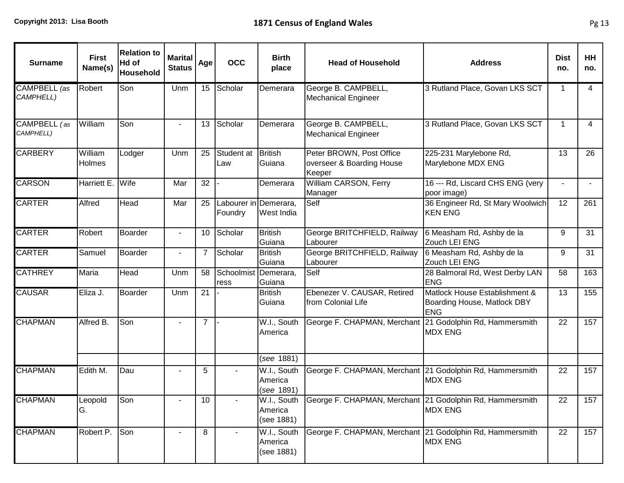| <b>Surname</b>            | <b>First</b><br>Name(s)  | <b>Relation to</b><br>Hd of<br><b>Household</b> | <b>Marital</b><br><b>Status</b> | Age            | <b>OCC</b>                       | <b>Birth</b><br>place                | <b>Head of Household</b>                                        | <b>Address</b>                                                             | <b>Dist</b><br>no. | <b>HH</b><br>no. |
|---------------------------|--------------------------|-------------------------------------------------|---------------------------------|----------------|----------------------------------|--------------------------------------|-----------------------------------------------------------------|----------------------------------------------------------------------------|--------------------|------------------|
| CAMPBELL (as<br>CAMPHELL) | Robert                   | Son                                             | Unm                             | 15             | Scholar                          | Demerara                             | George B. CAMPBELL,<br><b>Mechanical Engineer</b>               | 3 Rutland Place, Govan LKS SCT                                             | $\mathbf{1}$       | $\overline{4}$   |
| CAMPBELL (as<br>CAMPHELL) | William                  | Son                                             | $\overline{\phantom{a}}$        | 13             | Scholar                          | Demerara                             | George B. CAMPBELL,<br><b>Mechanical Engineer</b>               | 3 Rutland Place, Govan LKS SCT                                             | 1                  | $\overline{4}$   |
| <b>CARBERY</b>            | William<br><b>Holmes</b> | Lodger                                          | Unm                             | 25             | Student at<br>Law                | British<br>Guiana                    | Peter BROWN, Post Office<br>overseer & Boarding House<br>Keeper | 225-231 Marylebone Rd,<br>Marylebone MDX ENG                               | 13                 | 26               |
| <b>CARSON</b>             | Harriett E.              | Wife                                            | Mar                             | 32             |                                  | Demerara                             | William CARSON, Ferry<br>Manager                                | 16 --- Rd, Liscard CHS ENG (very<br>poor image)                            | $\sim$             | $\blacksquare$   |
| <b>CARTER</b>             | Alfred                   | Head                                            | Mar                             | 25             | Labourer in Demerara,<br>Foundry | West India                           | Self                                                            | 36 Engineer Rd, St Mary Woolwich<br><b>KEN ENG</b>                         | 12                 | 261              |
| <b>CARTER</b>             | Robert                   | <b>Boarder</b>                                  | $\overline{\phantom{a}}$        | 10             | Scholar                          | <b>British</b><br>Guiana             | George BRITCHFIELD, Railway<br>Labourer                         | 6 Measham Rd, Ashby de la<br>Zouch LEI ENG                                 | 9                  | 31               |
| <b>CARTER</b>             | Samuel                   | <b>Boarder</b>                                  | $\blacksquare$                  | 7              | Scholar                          | <b>British</b><br>Guiana             | George BRITCHFIELD, Railway<br>Labourer                         | 6 Measham Rd, Ashby de la<br>Zouch LEI ENG                                 | 9                  | 31               |
| <b>CATHREY</b>            | Maria                    | Head                                            | Unm                             | 58             | Schoolmist Demerara,<br>ress     | Guiana                               | Self                                                            | 28 Balmoral Rd, West Derby LAN<br><b>ENG</b>                               | 58                 | 163              |
| <b>CAUSAR</b>             | Eliza J.                 | Boarder                                         | Unm                             | 21             |                                  | <b>British</b><br>Guiana             | Ebenezer V. CAUSAR, Retired<br>from Colonial Life               | Matlock House Establishment &<br>Boarding House, Matlock DBY<br><b>ENG</b> | 13                 | 155              |
| <b>CHAPMAN</b>            | Alfred B.                | Son                                             |                                 | $\overline{7}$ |                                  | W.I., South<br>America               | George F. CHAPMAN, Merchant 21 Godolphin Rd, Hammersmith        | <b>MDX ENG</b>                                                             | 22                 | 157              |
|                           |                          |                                                 |                                 |                |                                  | (see 1881)                           |                                                                 |                                                                            |                    |                  |
| <b>CHAPMAN</b>            | Edith M.                 | Dau                                             |                                 | 5              |                                  | W.I., South<br>America<br>(see 1891) | George F. CHAPMAN, Merchant 21 Godolphin Rd, Hammersmith        | <b>MDX ENG</b>                                                             | 22                 | 157              |
| <b>CHAPMAN</b>            | Leopold<br>G.            | Son                                             |                                 | 10             |                                  | W.I., South<br>America<br>(see 1881) | George F. CHAPMAN, Merchant 21 Godolphin Rd, Hammersmith        | <b>MDX ENG</b>                                                             | 22                 | 157              |
| <b>CHAPMAN</b>            | Robert P.                | Son                                             |                                 | 8              |                                  | W.I., South<br>America<br>(see 1881) | George F. CHAPMAN, Merchant 21 Godolphin Rd, Hammersmith        | <b>MDX ENG</b>                                                             | 22                 | 157              |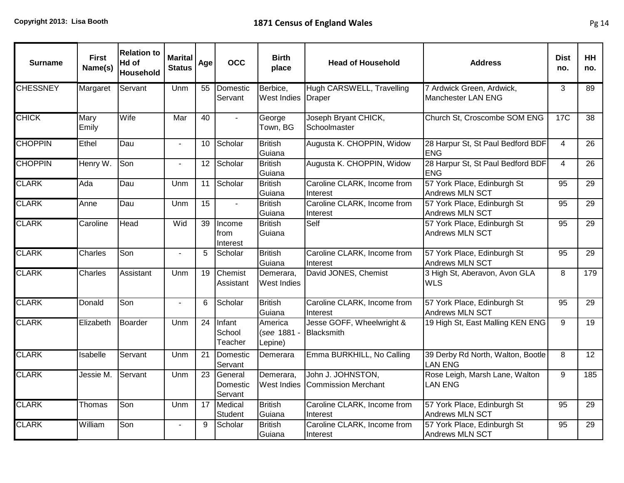| <b>Surname</b>  | <b>First</b><br>Name(s) | <b>Relation to</b><br>Hd of<br>Household | <b>Marital</b><br><b>Status</b> | Age             | <b>OCC</b>                     | <b>Birth</b><br>place             | <b>Head of Household</b>                        | <b>Address</b>                                        | <b>Dist</b><br>no. | <b>HH</b><br>no. |
|-----------------|-------------------------|------------------------------------------|---------------------------------|-----------------|--------------------------------|-----------------------------------|-------------------------------------------------|-------------------------------------------------------|--------------------|------------------|
| <b>CHESSNEY</b> | Margaret                | Servant                                  | Unm                             | 55              | Domestic<br>Servant            | Berbice,<br>West Indies           | Hugh CARSWELL, Travelling<br>Draper             | 7 Ardwick Green, Ardwick,<br>Manchester LAN ENG       | 3                  | 89               |
| <b>CHICK</b>    | Mary<br>Emily           | Wife                                     | Mar                             | 40              |                                | George<br>Town, BG                | Joseph Bryant CHICK,<br>Schoolmaster            | Church St, Croscombe SOM ENG                          | <b>17C</b>         | 38               |
| <b>CHOPPIN</b>  | Ethel                   | Dau                                      |                                 | 10              | Scholar                        | <b>British</b><br>Guiana          | Augusta K. CHOPPIN, Widow                       | 28 Harpur St, St Paul Bedford BDF<br><b>ENG</b>       | 4                  | 26               |
| <b>CHOPPIN</b>  | Henry W.                | Son                                      | $\blacksquare$                  | 12              | Scholar                        | <b>British</b><br>Guiana          | Augusta K. CHOPPIN, Widow                       | 28 Harpur St, St Paul Bedford BDF<br><b>ENG</b>       | $\overline{4}$     | 26               |
| <b>CLARK</b>    | Ada                     | Dau                                      | Unm                             | 11              | Scholar                        | <b>British</b><br>Guiana          | Caroline CLARK, Income from<br>Interest         | 57 York Place, Edinburgh St<br>Andrews MLN SCT        | 95                 | 29               |
| <b>CLARK</b>    | Anne                    | Dau                                      | Unm                             | 15              | $\blacksquare$                 | <b>British</b><br>Guiana          | Caroline CLARK, Income from<br>Interest         | 57 York Place, Edinburgh St<br>Andrews MLN SCT        | 95                 | 29               |
| <b>CLARK</b>    | Caroline                | Head                                     | Wid                             | $\overline{39}$ | Income<br>from<br>Interest     | <b>British</b><br>Guiana          | Self                                            | 57 York Place, Edinburgh St<br><b>Andrews MLN SCT</b> | 95                 | $\overline{29}$  |
| <b>CLARK</b>    | Charles                 | Son                                      | $\mathbf{r}$                    | 5               | Scholar                        | <b>British</b><br>Guiana          | Caroline CLARK, Income from<br>Interest         | 57 York Place, Edinburgh St<br><b>Andrews MLN SCT</b> | 95                 | 29               |
| <b>CLARK</b>    | Charles                 | Assistant                                | Unm                             | 19              | Chemist<br>Assistant           | Demerara,<br>West Indies          | David JONES, Chemist                            | 3 High St, Aberavon, Avon GLA<br><b>WLS</b>           | 8                  | 179              |
| <b>CLARK</b>    | Donald                  | Son                                      | $\sim$                          | 6               | Scholar                        | <b>British</b><br>Guiana          | Caroline CLARK, Income from<br>Interest         | 57 York Place, Edinburgh St<br>Andrews MLN SCT        | 95                 | 29               |
| <b>CLARK</b>    | Elizabeth               | <b>Boarder</b>                           | Unm                             | $\overline{24}$ | Infant<br>School<br>Teacher    | America<br>(see 1881 -<br>Lepine) | Jesse GOFF, Wheelwright &<br>Blacksmith         | 19 High St, East Malling KEN ENG                      | 9                  | 19               |
| <b>CLARK</b>    | Isabelle                | Servant                                  | Unm                             | $\overline{21}$ | Domestic<br>Servant            | Demerara                          | Emma BURKHILL, No Calling                       | 39 Derby Rd North, Walton, Bootle<br><b>LAN ENG</b>   | 8                  | $\overline{12}$  |
| <b>CLARK</b>    | Jessie M.               | Servant                                  | Unm                             | 23              | General<br>Domestic<br>Servant | Demerara,<br><b>West Indies</b>   | John J. JOHNSTON,<br><b>Commission Merchant</b> | Rose Leigh, Marsh Lane, Walton<br><b>LAN ENG</b>      | 9                  | 185              |
| <b>CLARK</b>    | Thomas                  | Son                                      | Unm                             | 17              | Medical<br>Student             | <b>British</b><br>Guiana          | Caroline CLARK, Income from<br>Interest         | 57 York Place, Edinburgh St<br><b>Andrews MLN SCT</b> | 95                 | 29               |
| <b>CLARK</b>    | William                 | Son                                      | $\blacksquare$                  | 9               | Scholar                        | <b>British</b><br>Guiana          | Caroline CLARK, Income from<br>Interest         | 57 York Place, Edinburgh St<br>Andrews MLN SCT        | 95                 | 29               |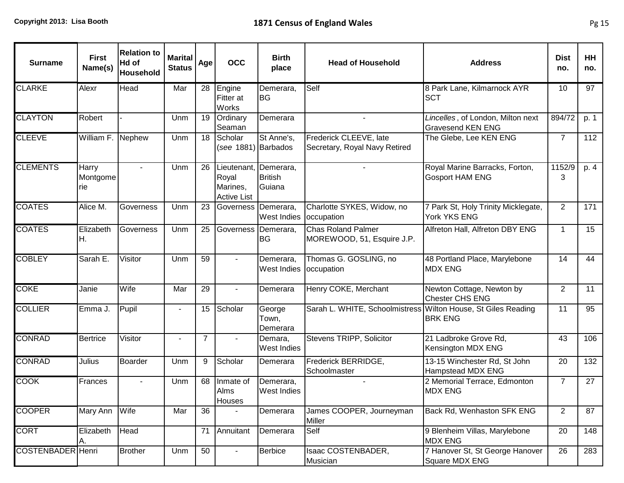| <b>Surname</b>           | <b>First</b><br>Name(s)   | <b>Relation to</b><br>Hd of<br><b>Household</b> | <b>Marital</b><br><b>Status</b> | Age             | <b>OCC</b>                                             | <b>Birth</b><br>place                 | <b>Head of Household</b>                                      | <b>Address</b>                                                | <b>Dist</b><br>no. | HH<br>no. |
|--------------------------|---------------------------|-------------------------------------------------|---------------------------------|-----------------|--------------------------------------------------------|---------------------------------------|---------------------------------------------------------------|---------------------------------------------------------------|--------------------|-----------|
| CLARKE                   | Alexr                     | Head                                            | Mar                             | 28              | Engine<br>Fitter at<br><b>Works</b>                    | Demerara,<br>lBG.                     | Self                                                          | 8 Park Lane, Kilmarnock AYR<br><b>SCT</b>                     | 10                 | 97        |
| <b>CLAYTON</b>           | Robert                    |                                                 | Unm                             | 19              | Ordinary<br>Seaman                                     | Demerara                              |                                                               | Lincelles, of London, Milton next<br><b>Gravesend KEN ENG</b> | 894/72             | p. 1      |
| <b>CLEEVE</b>            | William F. Nephew         |                                                 | Unm                             | 18              | Scholar<br>(see 1881) Barbados                         | St Anne's,                            | Frederick CLEEVE, late<br>Secretary, Royal Navy Retired       | The Glebe, Lee KEN ENG                                        | $\overline{7}$     | 112       |
| <b>CLEMENTS</b>          | Harry<br>Montgome<br>Irie | $\blacksquare$                                  | Unm                             | 26              | Lieutenant,<br>Royal<br>Marines,<br><b>Active List</b> | Demerara,<br><b>British</b><br>Guiana |                                                               | Royal Marine Barracks, Forton,<br><b>Gosport HAM ENG</b>      | 1152/9<br>3        | p. 4      |
| <b>COATES</b>            | Alice M.                  | Governess                                       | Unm                             | 23              | Governess Demerara,                                    | <b>West Indies</b>                    | Charlotte SYKES, Widow, no<br>occupation                      | 7 Park St, Holy Trinity Micklegate,<br>York YKS ENG           | 2                  | 171       |
| <b>COATES</b>            | Elizabeth<br>IH.          | Governess                                       | Unm                             | 25              | Governess                                              | Demerara,<br>lBG                      | <b>Chas Roland Palmer</b><br>MOREWOOD, 51, Esquire J.P.       | Alfreton Hall, Alfreton DBY ENG                               | $\mathbf{1}$       | 15        |
| <b>COBLEY</b>            | Sarah E.                  | Visitor                                         | Unm                             | 59              | $\blacksquare$                                         | Demerara,<br><b>West Indies</b>       | Thomas G. GOSLING, no<br>occupation                           | 48 Portland Place, Marylebone<br><b>MDX ENG</b>               | 14                 | 44        |
| <b>COKE</b>              | Janie                     | Wife                                            | Mar                             | 29              |                                                        | Demerara                              | Henry COKE, Merchant                                          | Newton Cottage, Newton by<br>Chester CHS ENG                  | 2                  | 11        |
| <b>COLLIER</b>           | Emma J.                   | Pupil                                           |                                 | 15              | Scholar                                                | George<br>Town,<br>Demerara           | Sarah L. WHITE, Schoolmistress Wilton House, St Giles Reading | <b>BRK ENG</b>                                                | 11                 | 95        |
| <b>CONRAD</b>            | <b>Bertrice</b>           | Visitor                                         | $\blacksquare$                  | $\overline{7}$  |                                                        | Demara,<br><b>West Indies</b>         | Stevens TRIPP, Solicitor                                      | 21 Ladbroke Grove Rd,<br>Kensington MDX ENG                   | 43                 | 106       |
| <b>CONRAD</b>            | <b>Julius</b>             | <b>Boarder</b>                                  | Unm                             | 9               | Scholar                                                | Demerara                              | Frederick BERRIDGE,<br>Schoolmaster                           | 13-15 Winchester Rd, St John<br><b>Hampstead MDX ENG</b>      | 20                 | 132       |
| <b>COOK</b>              | Frances                   |                                                 | Unm                             | 68              | Inmate of<br>Alms<br><b>Houses</b>                     | Demerara,<br><b>West Indies</b>       |                                                               | 2 Memorial Terrace, Edmonton<br><b>MDX ENG</b>                | $\overline{7}$     | 27        |
| <b>COOPER</b>            | Mary Ann                  | Wife                                            | Mar                             | $\overline{36}$ |                                                        | Demerara                              | James COOPER, Journeyman<br>Miller                            | Back Rd, Wenhaston SFK ENG                                    | 2                  | 87        |
| <b>CORT</b>              | Elizabeth<br>A.           | Head                                            |                                 | 71              | Annuitant                                              | Demerara                              | Self                                                          | 9 Blenheim Villas, Marylebone<br><b>MDX ENG</b>               | 20                 | 148       |
| <b>COSTENBADER</b> Henri |                           | <b>Brother</b>                                  | Unm                             | 50              |                                                        | <b>Berbice</b>                        | Isaac COSTENBADER,<br>Musician                                | 7 Hanover St, St George Hanover<br>Square MDX ENG             | 26                 | 283       |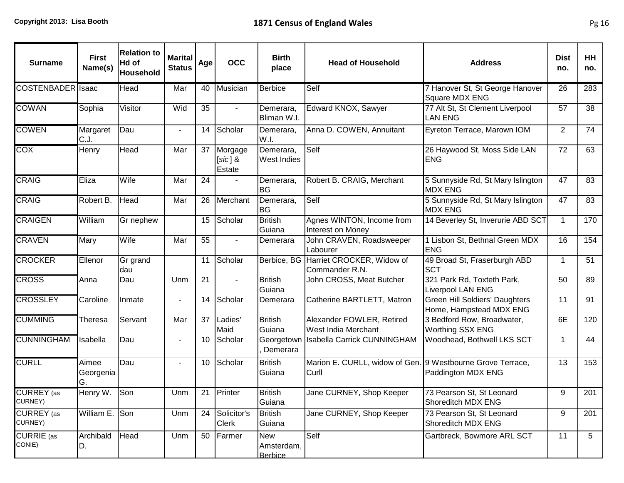| <b>Surname</b>               | <b>First</b><br>Name(s)  | <b>Relation to</b><br>Hd of<br>Household | <b>Marital</b><br><b>Status</b> | Age | <b>OCC</b>                     | <b>Birth</b><br>place                      | <b>Head of Household</b>                                            | <b>Address</b>                                            | <b>Dist</b><br>no. | HH<br>no. |
|------------------------------|--------------------------|------------------------------------------|---------------------------------|-----|--------------------------------|--------------------------------------------|---------------------------------------------------------------------|-----------------------------------------------------------|--------------------|-----------|
| COSTENBADER Isaac            |                          | Head                                     | Mar                             | 40  | Musician                       | Berbice                                    | Self                                                                | 7 Hanover St, St George Hanover<br>Square MDX ENG         | 26                 | 283       |
| <b>COWAN</b>                 | Sophia                   | Visitor                                  | Wid                             | 35  | $\sim$                         | Demerara,<br>Bliman W.I.                   | Edward KNOX, Sawyer                                                 | 77 Alt St, St Clement Liverpool<br><b>LAN ENG</b>         | 57                 | 38        |
| <b>COWEN</b>                 | Margaret<br>C.J.         | Dau                                      |                                 | 14  | Scholar                        | Demerara,<br>W.I.                          | Anna D. COWEN, Annuitant                                            | Eyreton Terrace, Marown IOM                               | 2                  | 74        |
| <b>COX</b>                   | Henry                    | Head                                     | Mar                             | 37  | Morgage<br>$[sic]$ &<br>Estate | Demerara,<br><b>West Indies</b>            | Self                                                                | 26 Haywood St, Moss Side LAN<br><b>ENG</b>                | 72                 | 63        |
| <b>CRAIG</b>                 | Eliza                    | Wife                                     | Mar                             | 24  |                                | Demerara,<br><b>BG</b>                     | Robert B. CRAIG, Merchant                                           | 5 Sunnyside Rd, St Mary Islington<br><b>MDX ENG</b>       | 47                 | 83        |
| <b>CRAIG</b>                 | Robert B.                | Head                                     | Mar                             | 26  | Merchant                       | Demerara,<br><b>BG</b>                     | Self                                                                | 5 Sunnyside Rd, St Mary Islington<br><b>MDX ENG</b>       | 47                 | 83        |
| <b>CRAIGEN</b>               | William                  | Gr nephew                                |                                 | 15  | Scholar                        | <b>British</b><br>Guiana                   | Agnes WINTON, Income from<br>Interest on Money                      | 14 Beverley St, Inverurie ABD SCT                         | $\mathbf{1}$       | 170       |
| <b>CRAVEN</b>                | Mary                     | Wife                                     | Mar                             | 55  |                                | Demerara                                   | John CRAVEN, Roadsweeper<br>Labourer                                | 1 Lisbon St, Bethnal Green MDX<br><b>ENG</b>              | 16                 | 154       |
| <b>CROCKER</b>               | Ellenor                  | Gr grand<br>dau                          |                                 | 11  | Scholar                        | Berbice, BG                                | Harriet CROCKER, Widow of<br>Commander R.N.                         | 49 Broad St, Fraserburgh ABD<br><b>SCT</b>                | $\mathbf{1}$       | 51        |
| <b>CROSS</b>                 | Anna                     | Dau                                      | Unm                             | 21  |                                | <b>British</b><br>Guiana                   | John CROSS, Meat Butcher                                            | 321 Park Rd, Toxteth Park,<br><b>Liverpool LAN ENG</b>    | 50                 | 89        |
| <b>CROSSLEY</b>              | Caroline                 | Inmate                                   |                                 | 14  | Scholar                        | Demerara                                   | Catherine BARTLETT, Matron                                          | Green Hill Soldiers' Daughters<br>Home, Hampstead MDX ENG | 11                 | 91        |
| <b>CUMMING</b>               | Theresa                  | Servant                                  | Mar                             | 37  | Ladies'<br>Maid                | <b>British</b><br>Guiana                   | Alexander FOWLER, Retired<br>West India Merchant                    | 3 Bedford Row, Broadwater,<br><b>Worthing SSX ENG</b>     | 6E                 | 120       |
| <b>CUNNINGHAM</b>            | Isabella                 | Dau                                      | $\blacksquare$                  | 10  | Scholar                        | Georgetown<br>Demerara                     | <b>Isabella Carrick CUNNINGHAM</b>                                  | Woodhead, Bothwell LKS SCT                                | 1                  | 44        |
| <b>CURLL</b>                 | Aimee<br>Georgenia<br>G. | Dau                                      | $\blacksquare$                  | 10  | Scholar                        | <b>British</b><br>Guiana                   | Marion E. CURLL, widow of Gen. 9 Westbourne Grove Terrace,<br>Curll | Paddington MDX ENG                                        | 13                 | 153       |
| <b>CURREY</b> (as<br>CURNEY) | Henry W.                 | Son                                      | Unm                             | 21  | Printer                        | <b>British</b><br>Guiana                   | Jane CURNEY, Shop Keeper                                            | 73 Pearson St, St Leonard<br>Shoreditch MDX ENG           | 9                  | 201       |
| <b>CURREY</b> (as<br>CURNEY) | William E. Son           |                                          | Unm                             | 24  | Solicitor's<br><b>Clerk</b>    | <b>British</b><br>Guiana                   | Jane CURNEY, Shop Keeper                                            | 73 Pearson St, St Leonard<br>Shoreditch MDX ENG           | 9                  | 201       |
| CURRIE (as<br>CONIE)         | Archibald<br>ID.         | Head                                     | Unm                             | 50  | Farmer                         | <b>New</b><br>Amsterdam,<br><b>Berbice</b> | Self                                                                | Gartbreck, Bowmore ARL SCT                                | 11                 | 5         |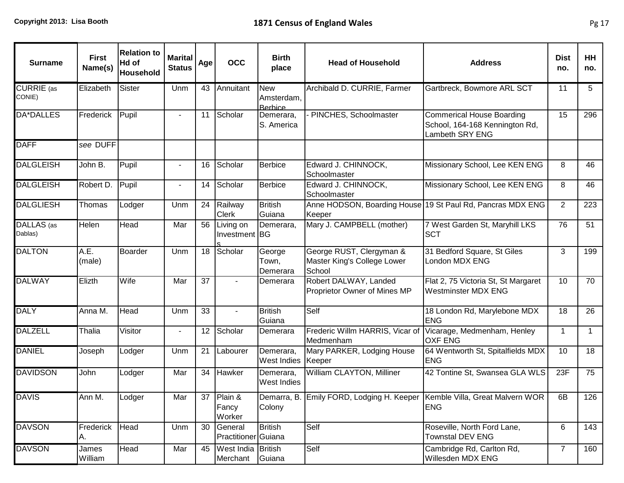| <b>Surname</b>                   | <b>First</b><br>Name(s) | <b>Relation to</b><br>Hd of<br>Household | <b>Marital</b><br><b>Status</b> | Age             | <b>OCC</b>                        | <b>Birth</b><br>place                      | <b>Head of Household</b>                                                 | <b>Address</b>                                                                          | <b>Dist</b><br>no. | <b>HH</b><br>no. |
|----------------------------------|-------------------------|------------------------------------------|---------------------------------|-----------------|-----------------------------------|--------------------------------------------|--------------------------------------------------------------------------|-----------------------------------------------------------------------------------------|--------------------|------------------|
| <b>CURRIE</b> (as<br>CONIE)      | Elizabeth               | Sister                                   | Unm                             | 43              | Annuitant                         | <b>New</b><br>Amsterdam,<br><b>Berbice</b> | Archibald D. CURRIE, Farmer                                              | Gartbreck, Bowmore ARL SCT                                                              | 11                 | 5                |
| DA*DALLES                        | Frederick               | Pupil                                    | $\blacksquare$                  | 11              | Scholar                           | Demerara,<br>S. America                    | PINCHES, Schoolmaster                                                    | <b>Commerical House Boarding</b><br>School, 164-168 Kennington Rd,<br>Lambeth SRY ENG   | 15                 | 296              |
| <b>DAFF</b>                      | see DUFF                |                                          |                                 |                 |                                   |                                            |                                                                          |                                                                                         |                    |                  |
| <b>DALGLEISH</b>                 | John B.                 | Pupil                                    |                                 | 16              | Scholar                           | Berbice                                    | Edward J. CHINNOCK,<br>Schoolmaster                                      | Missionary School, Lee KEN ENG                                                          | 8                  | 46               |
| <b>DALGLEISH</b>                 | Robert D.               | Pupil                                    |                                 | 14              | Scholar                           | Berbice                                    | Edward J. CHINNOCK,<br>Schoolmaster                                      | Missionary School, Lee KEN ENG                                                          | 8                  | 46               |
| <b>DALGLIESH</b>                 | Thomas                  | Lodger                                   | Unm                             | 24              | Railway<br><b>Clerk</b>           | <b>British</b><br>Guiana                   | Keeper                                                                   | Anne HODSON, Boarding House 19 St Paul Rd, Pancras MDX ENG                              | 2                  | 223              |
| DALLAS <sub>(as</sub><br>Dablas) | Helen                   | Head                                     | Mar                             | 56              | Living on<br>Investment BG        | Demerara,                                  | Mary J. CAMPBELL (mother)                                                | 7 West Garden St, Maryhill LKS<br><b>SCT</b>                                            | 76                 | 51               |
| <b>DALTON</b>                    | A.E.<br>(male)          | <b>Boarder</b>                           | Unm                             | 18              | Scholar                           | George<br>Town,<br>Demerara                | George RUST, Clergyman &<br>Master King's College Lower<br>School        | 31 Bedford Square, St Giles<br>London MDX ENG                                           | 3                  | 199              |
| <b>DALWAY</b>                    | Elizth                  | Wife                                     | Mar                             | $\overline{37}$ |                                   | Demerara                                   | Robert DALWAY, Landed<br>Proprietor Owner of Mines MP                    | Flat 2, 75 Victoria St, St Margaret<br><b>Westminster MDX ENG</b>                       | 10                 | 70               |
| <b>DALY</b>                      | Anna M.                 | Head                                     | Unm                             | 33              | $\mathbf{r}$                      | <b>British</b><br>Guiana                   | Self                                                                     | 18 London Rd, Marylebone MDX<br><b>ENG</b>                                              | 18                 | 26               |
| <b>DALZELL</b>                   | Thalia                  | Visitor                                  |                                 | 12              | Scholar                           | Demerara                                   | Frederic Willm HARRIS, Vicar of Vicarage, Medmenham, Henley<br>Medmenham | <b>OXF ENG</b>                                                                          | $\mathbf{1}$       | $\mathbf{1}$     |
| <b>DANIEL</b>                    | Joseph                  | Lodger                                   | Unm                             | 21              | Labourer                          | Demerara,<br><b>West Indies</b>            | Mary PARKER, Lodging House<br>Keeper                                     | 64 Wentworth St, Spitalfields MDX<br><b>ENG</b>                                         | 10                 | 18               |
| <b>DAVIDSON</b>                  | John                    | Lodger                                   | Mar                             | 34              | Hawker                            | Demerara,<br>West Indies                   | William CLAYTON, Milliner                                                | 42 Tontine St, Swansea GLA WLS                                                          | 23F                | 75               |
| <b>DAVIS</b>                     | Ann M.                  | Lodger                                   | Mar                             |                 | 37 Plain &<br>Fancy<br>Worker     | Colony                                     |                                                                          | Demarra, B. Emily FORD, Lodging H. Keeper Kemble Villa, Great Malvern WOR<br><b>ENG</b> | 6B                 | 126              |
| <b>DAVSON</b>                    | Frederick<br>IA.        | Head                                     | Unm                             | 30              | General<br>Practitioner Guiana    | <b>British</b>                             | Self                                                                     | Roseville, North Ford Lane,<br><b>Townstal DEV ENG</b>                                  | 6                  | 143              |
| <b>DAVSON</b>                    | James<br>William        | Head                                     | Mar                             |                 | 45 West India British<br>Merchant | Guiana                                     | Self                                                                     | Cambridge Rd, Carlton Rd,<br>Willesden MDX ENG                                          | $\overline{7}$     | 160              |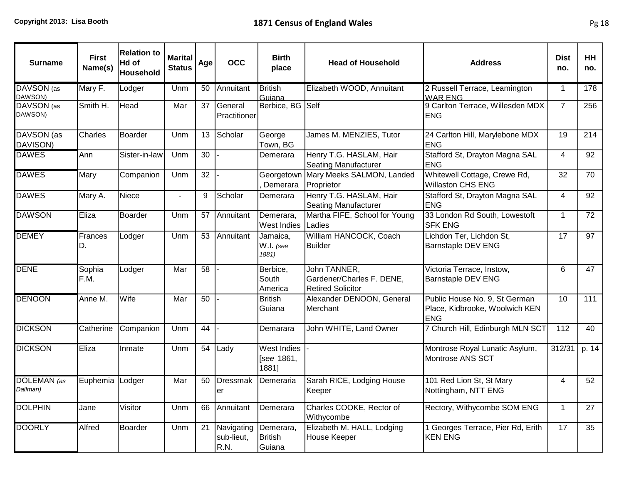| <b>Surname</b>          | <b>First</b><br>Name(s) | <b>Relation to</b><br>Hd of<br>Household | <b>Marital</b><br><b>Status</b> | Age | <b>OCC</b>                       | <b>Birth</b><br>place                     | <b>Head of Household</b>                                              | <b>Address</b>                                                                | <b>Dist</b><br>no. | HH<br>no.        |
|-------------------------|-------------------------|------------------------------------------|---------------------------------|-----|----------------------------------|-------------------------------------------|-----------------------------------------------------------------------|-------------------------------------------------------------------------------|--------------------|------------------|
| DAVSON (as<br>DAWSON)   | Mary F.                 | Lodger                                   | Unm                             | 50  | Annuitant                        | <b>British</b><br>Guiana                  | Elizabeth WOOD, Annuitant                                             | 2 Russell Terrace, Leamington<br><b>WAR ENG</b>                               | $\mathbf{1}$       | 178              |
| DAVSON (as<br>DAWSON)   | Smith H.                | Head                                     | Mar                             | 37  | General<br>Practitioner          | Berbice, BG Self                          |                                                                       | 9 Carlton Terrace, Willesden MDX<br><b>ENG</b>                                | $\overline{7}$     | 256              |
| DAVSON (as<br>DAVISON)  | <b>Charles</b>          | Boarder                                  | Unm                             | 13  | Scholar                          | George<br>Town, BG                        | James M. MENZIES, Tutor                                               | 24 Carlton Hill, Marylebone MDX<br><b>ENG</b>                                 | 19                 | 214              |
| <b>DAWES</b>            | Ann                     | Sister-in-law                            | Unm                             | 30  |                                  | Demerara                                  | Henry T.G. HASLAM, Hair<br><b>Seating Manufacturer</b>                | Stafford St, Drayton Magna SAL<br><b>ENG</b>                                  | 4                  | 92               |
| <b>DAWES</b>            | Mary                    | Companion                                | Unm                             | 32  |                                  | Georgetown<br>Demerara                    | Mary Meeks SALMON, Landed<br>Proprietor                               | Whitewell Cottage, Crewe Rd,<br><b>Willaston CHS ENG</b>                      | 32                 | 70               |
| <b>DAWES</b>            | Mary A.                 | Niece                                    | $\blacksquare$                  | 9   | Scholar                          | Demerara                                  | Henry T.G. HASLAM, Hair<br><b>Seating Manufacturer</b>                | Stafford St, Drayton Magna SAL<br><b>ENG</b>                                  | 4                  | $\overline{92}$  |
| <b>DAWSON</b>           | Eliza                   | <b>Boarder</b>                           | Unm                             | 57  | Annuitant                        | Demerara,<br><b>West Indies</b>           | Martha FIFE, School for Young<br>Ladies                               | 33 London Rd South, Lowestoft<br><b>SFK ENG</b>                               | $\mathbf{1}$       | 72               |
| <b>DEMEY</b>            | Frances<br>D.           | Lodger                                   | Unm                             | 53  | Annuitant                        | Jamaica,<br>W.I. (see<br>1881)            | William HANCOCK, Coach<br><b>Builder</b>                              | Lichdon Ter, Lichdon St,<br><b>Barnstaple DEV ENG</b>                         | $\overline{17}$    | $\overline{97}$  |
| <b>DENE</b>             | Sophia<br>F.M.          | Lodger                                   | Mar                             | 58  |                                  | Berbice,<br>South<br>America              | John TANNER,<br>Gardener/Charles F. DENE,<br><b>Retired Solicitor</b> | Victoria Terrace, Instow,<br><b>Barnstaple DEV ENG</b>                        | 6                  | 47               |
| <b>DENOON</b>           | Anne M.                 | Wife                                     | Mar                             | 50  |                                  | <b>British</b><br>Guiana                  | Alexander DENOON, General<br>Merchant                                 | Public House No. 9, St German<br>Place, Kidbrooke, Woolwich KEN<br><b>ENG</b> | $\overline{10}$    | $\overline{111}$ |
| <b>DICKSON</b>          | Catherine               | Companion                                | Unm                             | 44  |                                  | Demarara                                  | John WHITE, Land Owner                                                | 7 Church Hill, Edinburgh MLN SCT                                              | 112                | 40               |
| <b>DICKSON</b>          | Eliza                   | Inmate                                   | Unm                             | 54  | Lady                             | <b>West Indies</b><br>[see 1861,<br>1881] |                                                                       | Montrose Royal Lunatic Asylum,<br>Montrose ANS SCT                            | 312/31             | p. $14$          |
| DOLEMAN (as<br>Dallman) | Euphemia                | Lodger                                   | Mar                             | 50  | <b>Dressmak</b><br>er            | Demeraria                                 | Sarah RICE, Lodging House<br>Keeper                                   | 101 Red Lion St, St Mary<br>Nottingham, NTT ENG                               | $\overline{4}$     | 52               |
| <b>DOLPHIN</b>          | Jane                    | Visitor                                  | Unm                             | 66  | Annuitant                        | Demerara                                  | Charles COOKE, Rector of<br>Withycombe                                | Rectory, Withycombe SOM ENG                                                   | $\mathbf{1}$       | 27               |
| <b>DOORLY</b>           | Alfred                  | Boarder                                  | Unm                             | 21  | Navigating<br>sub-lieut,<br>R.N. | Demerara,<br><b>British</b><br>Guiana     | Elizabeth M. HALL, Lodging<br><b>House Keeper</b>                     | 1 Georges Terrace, Pier Rd, Erith<br><b>KEN ENG</b>                           | 17                 | 35               |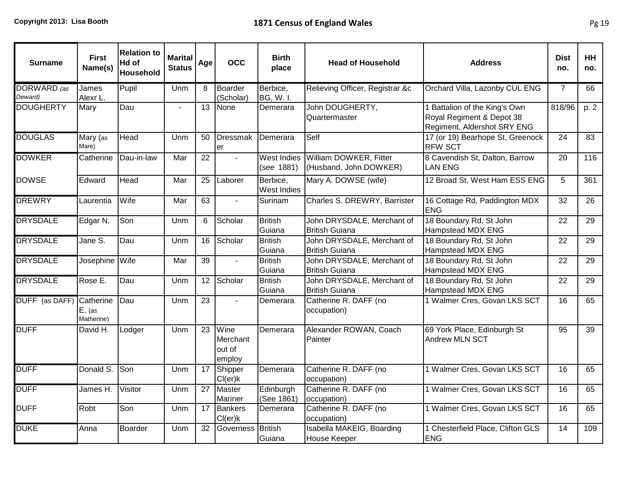| <b>Surname</b>           | <b>First</b><br>Name(s) | <b>Relation to</b><br>Hd of<br>Household | <b>Marital</b><br><b>Status</b> | Age             | <b>OCC</b>                           | <b>Birth</b><br>place            | <b>Head of Household</b>                            | <b>Address</b>                                                                            | <b>Dist</b><br>no. | <b>HH</b><br>no. |
|--------------------------|-------------------------|------------------------------------------|---------------------------------|-----------------|--------------------------------------|----------------------------------|-----------------------------------------------------|-------------------------------------------------------------------------------------------|--------------------|------------------|
| DORWARD (as<br>Deward)   | James<br>Alexr L.       | Pupil                                    | Unm                             | 8               | Boarder<br>(Scholar)                 | Berbice,<br><b>BG, W. I.</b>     | Relieving Officer, Registrar &c                     | Orchard Villa, Lazonby CUL ENG                                                            | $\overline{7}$     | 66               |
| <b>DOUGHERTY</b>         | Mary                    | Dau                                      |                                 | 13              | None                                 | Demerara                         | John DOUGHERTY,<br>Quartermaster                    | 1 Battalion of the King's Own<br>Royal Regiment & Depot 38<br>Regiment, Aldershot SRY ENG | 818/96             | p. 2             |
| <b>DOUGLAS</b>           | Mary (as<br>Mare)       | <b>Head</b>                              | Unm                             | 50              | Dressmak<br>er                       | Demerara                         | Self                                                | 17 (or 19) Bearhope St, Greenock<br><b>RFW SCT</b>                                        | 24                 | $\overline{83}$  |
| <b>DOWKER</b>            | Catherine               | Dau-in-law                               | Mar                             | 22              |                                      | <b>West Indies</b><br>(see 1881) | William DOWKER, Fitter<br>(Husband, John DOWKER)    | 8 Cavendish St, Dalton, Barrow<br><b>LAN ENG</b>                                          | 20                 | 116              |
| <b>DOWSE</b>             | Edward                  | Head                                     | Mar                             | 25              | Laborer                              | Berbice,<br>West Indies          | Mary A. DOWSE (wife)                                | 12 Broad St, West Ham ESS ENG                                                             | 5                  | 361              |
| <b>DREWRY</b>            | Laurentia               | Wife                                     | Mar                             | 63              | $\blacksquare$                       | Surinam                          | Charles S. DREWRY, Barrister                        | 16 Cottage Rd, Paddington MDX<br><b>ENG</b>                                               | 32                 | 26               |
| <b>DRYSDALE</b>          | Edgar N.                | Son                                      | Unm                             | 6               | Scholar                              | <b>British</b><br>Guiana         | John DRYSDALE, Merchant of<br><b>British Guiana</b> | 18 Boundary Rd, St John<br>Hampstead MDX ENG                                              | $\overline{22}$    | $\overline{29}$  |
| <b>DRYSDALE</b>          | Jane S.                 | Dau                                      | Unm                             | 16              | Scholar                              | <b>British</b><br>Guiana         | John DRYSDALE, Merchant of<br><b>British Guiana</b> | 18 Boundary Rd, St John<br>Hampstead MDX ENG                                              | 22                 | 29               |
| <b>DRYSDALE</b>          | Josephine Wife          |                                          | Mar                             | $\overline{39}$ | $\blacksquare$                       | <b>British</b><br>Guiana         | John DRYSDALE, Merchant of<br><b>British Guiana</b> | 18 Boundary Rd, St John<br><b>Hampstead MDX ENG</b>                                       | $\overline{22}$    | $\overline{29}$  |
| <b>DRYSDALE</b>          | Rose E.                 | Dau                                      | Unm                             | 12              | Scholar                              | <b>British</b><br>Guiana         | John DRYSDALE, Merchant of<br><b>British Guiana</b> | 18 Boundary Rd, St John<br><b>Hampstead MDX ENG</b>                                       | $\overline{22}$    | 29               |
| DUFF (as DAFF) Catherine | $E.$ (as<br>Matherine)  | Dau                                      | Unm                             | $\overline{23}$ |                                      | Demerara                         | Catherine R. DAFF (no<br>occupation)                | 1 Walmer Cres, Govan LKS SCT                                                              | 16                 | 65               |
| <b>DUFF</b>              | David H.                | Lodger                                   | Unm                             | $\overline{23}$ | Wine<br>Merchant<br>out of<br>employ | Demerara                         | Alexander ROWAN, Coach<br>Painter                   | 69 York Place, Edinburgh St<br><b>Andrew MLN SCT</b>                                      | 95                 | 39               |
| <b>DUFF</b>              | Donald S.               | <b>Son</b>                               | Unm                             | 17              | Shipper<br>Cl(er)k                   | Demerara                         | Catherine R. DAFF (no<br>occupation)                | 1 Walmer Cres, Govan LKS SCT                                                              | 16                 | 65               |
| <b>DUFF</b>              | James H.                | Visitor                                  | Unm                             | 27              | Master<br><b>Mariner</b>             | Edinburgh<br>(See 1861)          | Catherine R. DAFF (no<br>occupation)                | 1 Walmer Cres, Govan LKS SCT                                                              | 16                 | 65               |
| <b>DUFF</b>              | Robt                    | Son                                      | Unm                             | 17              | Bankers<br>Cl(er)k                   | Demerara                         | Catherine R. DAFF (no<br>occupation)                | 1 Walmer Cres, Govan LKS SCT                                                              | 16                 | 65               |
| <b>DUKE</b>              | Anna                    | <b>Boarder</b>                           | Unm                             | $\overline{32}$ | Governess British                    | Guiana                           | Isabella MAKEIG, Boarding<br><b>House Keeper</b>    | 1 Chesterfield Place, Clifton GLS<br><b>ENG</b>                                           | 14                 | 109              |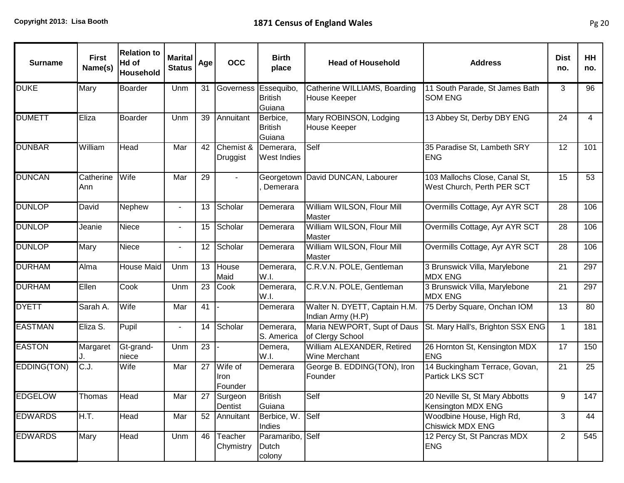| <b>Surname</b> | <b>First</b><br>Name(s) | <b>Relation to</b><br>Hd of<br>Household | <b>Marital</b><br><b>Status</b> | Age             | <b>OCC</b>                 | <b>Birth</b><br>place                | <b>Head of Household</b>                            | <b>Address</b>                                              | <b>Dist</b><br>no. | HH<br>no. |
|----------------|-------------------------|------------------------------------------|---------------------------------|-----------------|----------------------------|--------------------------------------|-----------------------------------------------------|-------------------------------------------------------------|--------------------|-----------|
| <b>DUKE</b>    | Mary                    | <b>Boarder</b>                           | Unm                             | 31              | Governess Essequibo,       | <b>British</b><br>Guiana             | Catherine WILLIAMS, Boarding<br><b>House Keeper</b> | 11 South Parade, St James Bath<br><b>SOM ENG</b>            | 3                  | 96        |
| <b>DUMETT</b>  | Eliza                   | Boarder                                  | Unm                             | 39              | Annuitant                  | Berbice,<br><b>British</b><br>Guiana | Mary ROBINSON, Lodging<br><b>House Keeper</b>       | 13 Abbey St, Derby DBY ENG                                  | 24                 | 4         |
| <b>DUNBAR</b>  | William                 | Head                                     | Mar                             | 42              | Chemist &<br>Druggist      | Demerara,<br><b>West Indies</b>      | Self                                                | 35 Paradise St, Lambeth SRY<br><b>ENG</b>                   | 12                 | 101       |
| <b>DUNCAN</b>  | Catherine<br>Ann        | Wife                                     | Mar                             | 29              | $\sim$                     | Georgetown<br>Demerara               | David DUNCAN, Labourer                              | 103 Mallochs Close, Canal St,<br>West Church, Perth PER SCT | 15                 | 53        |
| <b>DUNLOP</b>  | David                   | Nephew                                   | $\sim$                          | 13              | Scholar                    | Demerara                             | William WILSON, Flour Mill<br><b>Master</b>         | Overmills Cottage, Ayr AYR SCT                              | 28                 | 106       |
| <b>DUNLOP</b>  | Jeanie                  | Niece                                    |                                 | 15              | Scholar                    | Demerara                             | William WILSON, Flour Mill<br><b>Master</b>         | Overmills Cottage, Ayr AYR SCT                              | 28                 | 106       |
| <b>DUNLOP</b>  | Mary                    | Niece                                    |                                 | 12              | Scholar                    | Demerara                             | William WILSON, Flour Mill<br><b>Master</b>         | Overmills Cottage, Ayr AYR SCT                              | 28                 | 106       |
| <b>DURHAM</b>  | Alma                    | <b>House Maid</b>                        | Unm                             | 13              | House<br>Maid              | Demerara,<br>W.I.                    | C.R.V.N. POLE, Gentleman                            | 3 Brunswick Villa, Marylebone<br><b>MDX ENG</b>             | 21                 | 297       |
| <b>DURHAM</b>  | Ellen                   | Cook                                     | Unm                             | $\overline{23}$ | Cook                       | Demerara,<br>W.I.                    | C.R.V.N. POLE, Gentleman                            | 3 Brunswick Villa, Marylebone<br><b>MDX ENG</b>             | 21                 | 297       |
| <b>DYETT</b>   | Sarah A.                | Wife                                     | Mar                             | 41              |                            | Demerara                             | Walter N. DYETT, Captain H.M.<br>Indian Army (H.P)  | 75 Derby Square, Onchan IOM                                 | 13                 | 80        |
| <b>EASTMAN</b> | Eliza S.                | Pupil                                    |                                 | 14              | Scholar                    | Demerara,<br>S. America              | Maria NEWPORT, Supt of Daus<br>of Clergy School     | St. Mary Hall's, Brighton SSX ENG                           | $\mathbf 1$        | 181       |
| <b>EASTON</b>  | Margaret                | Gt-grand-<br>niece                       | Unm                             | 23              |                            | Demera,<br>W.I.                      | William ALEXANDER, Retired<br>Wine Merchant         | 26 Hornton St, Kensington MDX<br><b>ENG</b>                 | 17                 | 150       |
| EDDING(TON)    | IC.J.                   | Wife                                     | Mar                             | 27              | Wife of<br>Iron<br>Founder | Demerara                             | George B. EDDING(TON), Iron<br>Founder              | 14 Buckingham Terrace, Govan,<br>Partick LKS SCT            | 21                 | 25        |
| <b>EDGELOW</b> | Thomas                  | <b>Head</b>                              | Mar                             |                 | 27 Surgeon<br>Dentist      | <b>British</b><br>Guiana             | Self                                                | 20 Neville St, St Mary Abbotts<br>Kensington MDX ENG        | 9                  | 147       |
| <b>EDWARDS</b> | ]H.T.                   | Head                                     | Mar                             |                 | $\overline{52}$ Annuitant  | Berbice, W.<br>Indies                | Self                                                | Woodbine House, High Rd,<br><b>Chiswick MDX ENG</b>         | 3                  | 44        |
| <b>EDWARDS</b> | Mary                    | <b>Head</b>                              | Unm                             | 46              | Teacher<br>Chymistry       | Paramaribo, Self<br>Dutch<br>colony  |                                                     | 12 Percy St, St Pancras MDX<br><b>ENG</b>                   | $\overline{2}$     | 545       |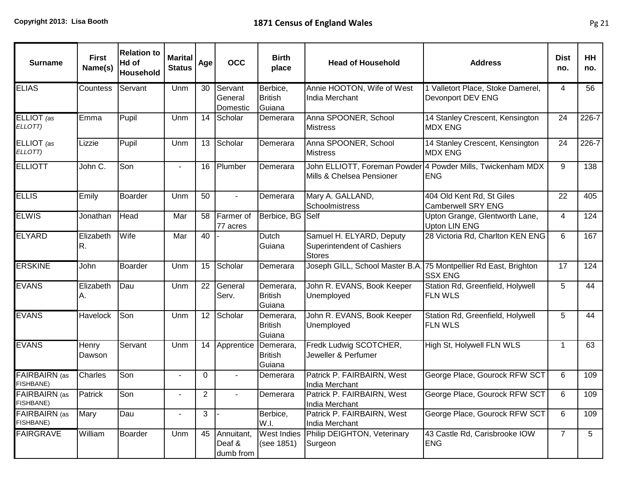| <b>Surname</b>                    | <b>First</b><br>Name(s) | <b>Relation to</b><br>Hd of<br><b>Household</b> | <b>Marital</b><br><b>Status</b> | Age            | <b>OCC</b>                        | <b>Birth</b><br>place                 | <b>Head of Household</b>                                                       | <b>Address</b>                                                            | <b>Dist</b><br>no. | HH<br>no.      |
|-----------------------------------|-------------------------|-------------------------------------------------|---------------------------------|----------------|-----------------------------------|---------------------------------------|--------------------------------------------------------------------------------|---------------------------------------------------------------------------|--------------------|----------------|
| <b>ELIAS</b>                      | Countess                | Servant                                         | Unm                             | 30             | Servant<br>General<br>Domestic    | Berbice,<br><b>British</b><br>Guiana  | Annie HOOTON, Wife of West<br>India Merchant                                   | 1 Valletort Place, Stoke Damerel,<br>Devonport DEV ENG                    | 4                  | 56             |
| ELLIOT (as<br>ELLOTT)             | Emma                    | Pupil                                           | Unm                             | 14             | Scholar                           | Demerara                              | Anna SPOONER, School<br><b>Mistress</b>                                        | 14 Stanley Crescent, Kensington<br><b>MDX ENG</b>                         | 24                 | 226-7          |
| ELLIOT (as<br>ELLOTT)             | Lizzie                  | Pupil                                           | Unm                             | 13             | Scholar                           | Demerara                              | Anna SPOONER, School<br><b>Mistress</b>                                        | 14 Stanley Crescent, Kensington<br><b>MDX ENG</b>                         | 24                 | 226-7          |
| <b>ELLIOTT</b>                    | John C.                 | Son                                             |                                 | 16             | <b>Plumber</b>                    | Demerara                              | Mills & Chelsea Pensioner                                                      | John ELLIOTT, Foreman Powder 4 Powder Mills, Twickenham MDX<br><b>ENG</b> | 9                  | 138            |
| <b>ELLIS</b>                      | Emily                   | <b>Boarder</b>                                  | Unm                             | 50             | $\blacksquare$                    | Demerara                              | Mary A. GALLAND,<br>Schoolmistress                                             | 404 Old Kent Rd, St Giles<br><b>Camberwell SRY ENG</b>                    | 22                 | 405            |
| <b>ELWIS</b>                      | Jonathan                | Head                                            | Mar                             | 58             | Farmer of<br>77 acres             | Berbice, BG Self                      |                                                                                | Upton Grange, Glentworth Lane,<br><b>Upton LIN ENG</b>                    | 4                  | 124            |
| <b>ELYARD</b>                     | Elizabeth<br>R.         | Wife                                            | Mar                             | 40             |                                   | Dutch<br>Guiana                       | Samuel H. ELYARD, Deputy<br><b>Superintendent of Cashiers</b><br><b>Stores</b> | 28 Victoria Rd, Charlton KEN ENG                                          | 6                  | 167            |
| <b>ERSKINE</b>                    | John                    | <b>Boarder</b>                                  | Unm                             | 15             | Scholar                           | Demerara                              | Joseph GILL, School Master B.A. 75 Montpellier Rd East, Brighton               | <b>SSX ENG</b>                                                            | 17                 | 124            |
| <b>EVANS</b>                      | Elizabeth<br>А.         | Dau                                             | Unm                             | 22             | General<br>Serv.                  | Demerara,<br><b>British</b><br>Guiana | John R. EVANS, Book Keeper<br>Unemployed                                       | Station Rd, Greenfield, Holywell<br><b>FLN WLS</b>                        | 5                  | 44             |
| <b>EVANS</b>                      | Havelock                | Son                                             | Unm                             | 12             | Scholar                           | Demerara,<br><b>British</b><br>Guiana | John R. EVANS, Book Keeper<br>Unemployed                                       | Station Rd, Greenfield, Holywell<br><b>FLN WLS</b>                        | 5                  | 44             |
| <b>EVANS</b>                      | Henry<br>Dawson         | Servant                                         | Unm                             | 14             | Apprentice                        | Demerara,<br><b>British</b><br>Guiana | Fredk Ludwig SCOTCHER,<br>Jeweller & Perfumer                                  | High St, Holywell FLN WLS                                                 | $\mathbf 1$        | 63             |
| <b>FAIRBAIRN</b> (as<br>FISHBANE) | Charles                 | Son                                             | $\blacksquare$                  | 0              |                                   | Demerara                              | Patrick P. FAIRBAIRN, West<br>India Merchant                                   | George Place, Gourock RFW SCT                                             | 6                  | 109            |
| FAIRBAIRN (as<br><b>FISHBANE)</b> | Patrick                 | Son                                             |                                 | $\overline{2}$ |                                   | Demerara                              | Patrick P. FAIRBAIRN, West<br>India Merchant                                   | George Place, Gourock RFW SCT                                             | 6                  | 109            |
| FAIRBAIRN (as<br>FISHBANE)        | Mary                    | Dau                                             | $\frac{1}{2}$                   | 3              |                                   | Berbice,<br>W.I.                      | Patrick P. FAIRBAIRN, West<br>India Merchant                                   | George Place, Gourock RFW SCT                                             | 6                  | 109            |
| <b>FAIRGRAVE</b>                  | William                 | Boarder                                         | Unm                             | 45             | Annuitant,<br>Deaf &<br>dumb from | <b>West Indies</b><br>(see 1851)      | Philip DEIGHTON, Veterinary<br>Surgeon                                         | 43 Castle Rd, Carisbrooke IOW<br><b>ENG</b>                               | $\overline{7}$     | 5 <sup>5</sup> |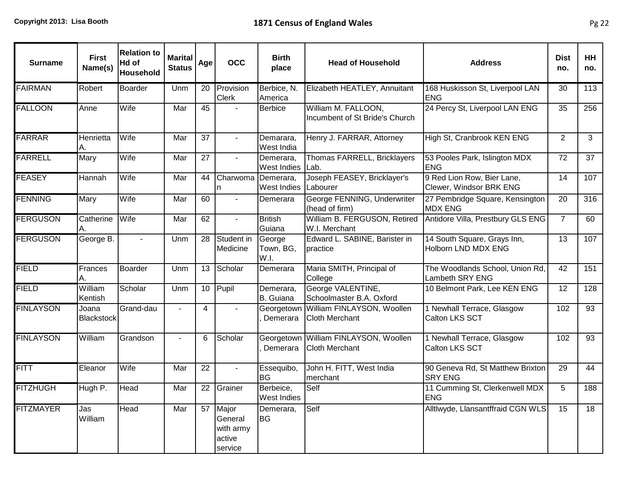| <b>Surname</b>   | <b>First</b><br>Name(s) | <b>Relation to</b><br>Hd of<br>Household | <b>Marital</b><br><b>Status</b> | Age | <b>OCC</b>                                         | <b>Birth</b><br>place           | <b>Head of Household</b>                              | <b>Address</b>                                        | <b>Dist</b><br>no. | HH<br>no.       |
|------------------|-------------------------|------------------------------------------|---------------------------------|-----|----------------------------------------------------|---------------------------------|-------------------------------------------------------|-------------------------------------------------------|--------------------|-----------------|
| <b>FAIRMAN</b>   | Robert                  | <b>Boarder</b>                           | Unm                             | 20  | Provision<br><b>Clerk</b>                          | Berbice, N.<br>America          | Elizabeth HEATLEY, Annuitant                          | 168 Huskisson St, Liverpool LAN<br><b>ENG</b>         | 30                 | 113             |
| <b>FALLOON</b>   | Anne                    | Wife                                     | Mar                             | 45  | $\overline{a}$                                     | <b>Berbice</b>                  | William M. FALLOON,<br>Incumbent of St Bride's Church | 24 Percy St, Liverpool LAN ENG                        | 35                 | 256             |
| <b>FARRAR</b>    | Henrietta<br>Α.         | Wife                                     | Mar                             | 37  | $\blacksquare$                                     | Demarara,<br>West India         | Henry J. FARRAR, Attorney                             | High St, Cranbrook KEN ENG                            | 2                  | $\mathbf{3}$    |
| <b>FARRELL</b>   | Mary                    | Wife                                     | Mar                             | 27  |                                                    | Demerara,<br>West Indies        | Thomas FARRELL, Bricklayers<br>Lab.                   | 53 Pooles Park, Islington MDX<br><b>ENG</b>           | 72                 | 37              |
| <b>FEASEY</b>    | Hannah                  | Wife                                     | Mar                             | 44  | Charwoma Demerara,<br>n                            | <b>West Indies</b>              | Joseph FEASEY, Bricklayer's<br>Labourer               | 9 Red Lion Row, Bier Lane,<br>Clewer, Windsor BRK ENG | 14                 | 107             |
| <b>FENNING</b>   | Mary                    | Wife                                     | Mar                             | 60  | $\blacksquare$                                     | Demerara                        | George FENNING, Underwriter<br>(head of firm)         | 27 Pembridge Square, Kensington<br><b>MDX ENG</b>     | 20                 | 316             |
| <b>FERGUSON</b>  | Catherine<br>А.         | Wife                                     | Mar                             | 62  | $\overline{a}$                                     | <b>British</b><br>Guiana        | William B. FERGUSON, Retired<br>W.I. Merchant         | Antidore Villa, Prestbury GLS ENG                     | $\overline{7}$     | 60              |
| <b>FERGUSON</b>  | George B.               | $\mathbf{r}$                             | Unm                             | 28  | Student in<br>Medicine                             | George<br>Town, BG,<br>W.I.     | Edward L. SABINE, Barister in<br>practice             | 14 South Square, Grays Inn,<br>Holborn LND MDX ENG    | 13                 | 107             |
| <b>FIELD</b>     | Frances                 | <b>Boarder</b>                           | Unm                             | 13  | Scholar                                            | Demerara                        | Maria SMITH, Principal of<br>College                  | The Woodlands School, Union Rd,<br>Lambeth SRY ENG    | 42                 | 151             |
| <b>FIELD</b>     | William<br>Kentish      | Scholar                                  | Unm                             | 10  | Pupil                                              | Demerara,<br>B. Guiana          | George VALENTINE,<br>Schoolmaster B.A. Oxford         | 10 Belmont Park, Lee KEN ENG                          | 12                 | 128             |
| <b>FINLAYSON</b> | Joana<br>Blackstock     | Grand-dau                                | $\blacksquare$                  | 4   | $\overline{a}$                                     | Georgetown<br>Demerara          | William FINLAYSON, Woollen<br><b>Cloth Merchant</b>   | 1 Newhall Terrace, Glasgow<br>Calton LKS SCT          | 102                | $\overline{93}$ |
| <b>FINLAYSON</b> | William                 | Grandson                                 | $\sim$                          | 6   | Scholar                                            | Georgetowr<br>Demerara          | William FINLAYSON, Woollen<br><b>Cloth Merchant</b>   | 1 Newhall Terrace, Glasgow<br>Calton LKS SCT          | 102                | 93              |
| <b>FITT</b>      | Eleanor                 | Wife                                     | Mar                             | 22  | $\blacksquare$                                     | Essequibo,<br><b>BG</b>         | John H. FITT, West India<br>merchant                  | 90 Geneva Rd, St Matthew Brixton<br><b>SRY ENG</b>    | 29                 | 44              |
| <b>FITZHUGH</b>  | Hugh P.                 | Head                                     | Mar                             | 22  | Grainer                                            | Berbeice,<br><b>West Indies</b> | Self                                                  | 11 Cumming St, Clerkenwell MDX<br><b>ENG</b>          | 5                  | 188             |
| <b>FITZMAYER</b> | Jas<br>William          | Head                                     | Mar                             | 57  | Major<br>General<br>with army<br>active<br>service | Demerara,<br><b>BG</b>          | Self                                                  | Alltlwyde, Llansantffraid CGN WLS                     | 15                 | $\overline{18}$ |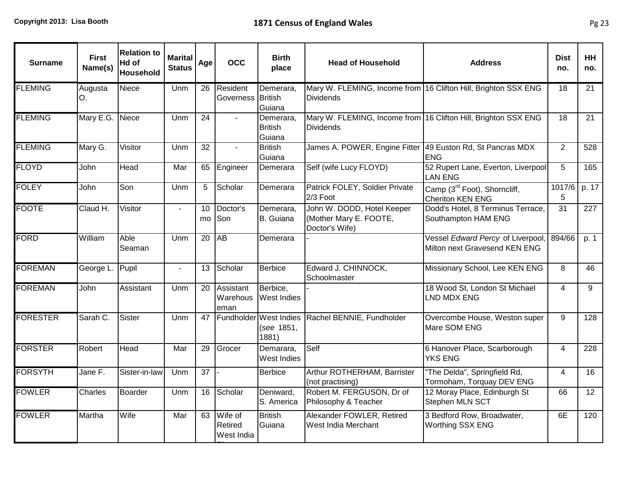| <b>Surname</b>  | <b>First</b><br>Name(s) | <b>Relation to</b><br>Hd of<br>Household | <b>Marital</b><br><b>Status</b> | Age             | <b>OCC</b>                       | <b>Birth</b><br>place                         | <b>Head of Household</b>                                               | <b>Address</b>                                                     | <b>Dist</b><br>no.       | <b>HH</b><br>no. |
|-----------------|-------------------------|------------------------------------------|---------------------------------|-----------------|----------------------------------|-----------------------------------------------|------------------------------------------------------------------------|--------------------------------------------------------------------|--------------------------|------------------|
| <b>FLEMING</b>  | Augusta<br>O.           | <b>Niece</b>                             | Unm                             | 26              | Resident<br>Governess British    | Demerara,<br>Guiana                           | <b>Dividends</b>                                                       | Mary W. FLEMING, Income from 16 Clifton Hill, Brighton SSX ENG     | 18                       | 21               |
| <b>FLEMING</b>  | Mary E.G. Niece         |                                          | <b>Unm</b>                      | 24              |                                  | Demerara,<br><b>British</b><br>Guiana         | <b>Dividends</b>                                                       | Mary W. FLEMING, Income from 16 Clifton Hill, Brighton SSX ENG     | 18                       | 21               |
| <b>FLEMING</b>  | Mary G.                 | Visitor                                  | Unm                             | $\overline{32}$ |                                  | <b>British</b><br>Guiana                      | James A. POWER, Engine Fitter 49 Euston Rd, St Pancras MDX             | <b>ENG</b>                                                         | $\overline{2}$           | 528              |
| <b>FLOYD</b>    | John                    | Head                                     | Mar                             | 65              | Engineer                         | Demerara                                      | Self (wife Lucy FLOYD)                                                 | 52 Rupert Lane, Everton, Liverpool<br><b>LAN ENG</b>               | 5                        | 165              |
| <b>FOLEY</b>    | John                    | Son                                      | Unm                             | 5               | Scholar                          | Demerara                                      | Patrick FOLEY, Soldier Private<br>2/3 Foot                             | Camp ( $3^{\text{rd}}$ Foot), Shorncliff,<br>Cheriton KEN ENG      | 1017/6<br>5              | p. 17            |
| <b>FOOTE</b>    | Claud H.                | Visitor                                  | $\blacksquare$                  | 10<br>mo        | Doctor's<br>Son                  | Demerara,<br>B. Guiana                        | John W. DODD, Hotel Keeper<br>(Mother Mary E. FOOTE,<br>Doctor's Wife) | Dodd's Hotel, 8 Terminus Terrace,<br>Southampton HAM ENG           | 31                       | 227              |
| FORD            | William                 | Able<br>Seaman                           | <b>Unm</b>                      | 20              | AB                               | Demerara                                      |                                                                        | Vessel Edward Percy of Liverpool,<br>Milton next Gravesend KEN ENG | 894/66                   | p. 1             |
| <b>FOREMAN</b>  | George L.               | Pupil                                    | $\blacksquare$                  | 13              | Scholar                          | Berbice                                       | Edward J. CHINNOCK,<br>Schoolmaster                                    | Missionary School, Lee KEN ENG                                     | 8                        | 46               |
| <b>FOREMAN</b>  | John                    | Assistant                                | Unm                             | 20              | Assistant<br>Warehous<br>eman    | Berbice,<br>West Indies                       |                                                                        | 18 Wood St, London St Michael<br>LND MDX ENG                       | 4                        | 9                |
| <b>FORESTER</b> | Sarah C.                | Sister                                   | Unm                             | 47              |                                  | Fundholder West Indies<br>(see 1851,<br>1881) | Rachel BENNIE, Fundholder                                              | Overcombe House, Weston super<br>Mare SOM ENG                      | 9                        | 128              |
| <b>FORSTER</b>  | Robert                  | Head                                     | Mar                             | 29              | Grocer                           | Demarara,<br>West Indies                      | Self                                                                   | 6 Hanover Place, Scarborough<br><b>YKS ENG</b>                     | $\overline{4}$           | 228              |
| <b>FORSYTH</b>  | Jane F.                 | Sister-in-law                            | Unm                             | $\overline{37}$ |                                  | <b>Berbice</b>                                | Arthur ROTHERHAM, Barrister<br>(not practising)                        | "The Delda", Springfield Rd,<br>Tormoham, Torquay DEV ENG          | $\overline{\mathcal{L}}$ | 16               |
| <b>FOWLER</b>   | <b>Charles</b>          | <b>Boarder</b>                           | Unm                             | 16              | Scholar                          | Deniward,<br>S. America                       | Robert M. FERGUSON, Dr of<br>Philosophy & Teacher                      | 12 Moray Place, Edinburgh St<br>Stephen MLN SCT                    | 66                       | 12 <sup>°</sup>  |
| <b>FOWLER</b>   | Martha                  | Wife                                     | Mar                             | 63              | Wife of<br>Retired<br>West India | <b>British</b><br>Guiana                      | Alexander FOWLER, Retired<br>West India Merchant                       | 3 Bedford Row, Broadwater,<br>Worthing SSX ENG                     | 6E                       | 120              |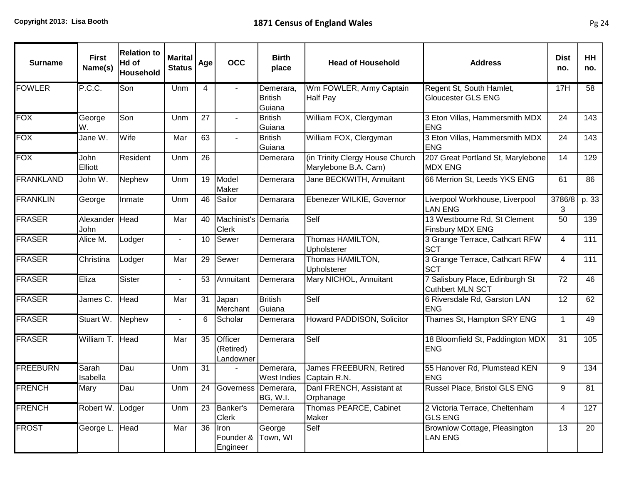| <b>Surname</b>   | <b>First</b><br>Name(s) | <b>Relation to</b><br>Hd of<br>Household | <b>Marital</b><br><b>Status</b> | Age | <b>OCC</b>                          | <b>Birth</b><br>place                 | <b>Head of Household</b>                                | <b>Address</b>                                          | <b>Dist</b><br>no. | <b>HH</b><br>no. |
|------------------|-------------------------|------------------------------------------|---------------------------------|-----|-------------------------------------|---------------------------------------|---------------------------------------------------------|---------------------------------------------------------|--------------------|------------------|
| <b>FOWLER</b>    | P.C.C.                  | Son                                      | Unm                             | 4   |                                     | Demerara,<br><b>British</b><br>Guiana | Wm FOWLER, Army Captain<br>Half Pay                     | Regent St, South Hamlet,<br>Gloucester GLS ENG          | 17H                | 58               |
| <b>FOX</b>       | George<br>W.            | Son                                      | Unm                             | 27  | $\sim$                              | <b>British</b><br>Guiana              | William FOX, Clergyman                                  | 3 Eton Villas, Hammersmith MDX<br><b>ENG</b>            | 24                 | 143              |
| <b>FOX</b>       | Jane W.                 | Wife                                     | Mar                             | 63  |                                     | <b>British</b><br>Guiana              | William FOX, Clergyman                                  | 3 Eton Villas, Hammersmith MDX<br><b>ENG</b>            | 24                 | 143              |
| <b>FOX</b>       | John<br>Elliott         | Resident                                 | Unm                             | 26  |                                     | Demerara                              | (in Trinity Clergy House Church<br>Marylebone B.A. Cam) | 207 Great Portland St, Marylebone<br><b>MDX ENG</b>     | 14                 | 129              |
| <b>FRANKLAND</b> | John W.                 | Nephew                                   | Unm                             | 19  | Model<br>Maker                      | Demerara                              | Jane BECKWITH, Annuitant                                | 66 Merrion St, Leeds YKS ENG                            | 61                 | $\overline{86}$  |
| <b>FRANKLIN</b>  | George                  | Inmate                                   | Unm                             | 46  | Sailor                              | Demarara                              | Ebenezer WILKIE, Governor                               | Liverpool Workhouse, Liverpool<br><b>LAN ENG</b>        | 3786/8<br>3        | p. 33            |
| <b>FRASER</b>    | Alexander<br>John       | Head                                     | Mar                             | 40  | Machinist's Demaria<br><b>Clerk</b> |                                       | Self                                                    | 13 Westbourne Rd, St Clement<br><b>Finsbury MDX ENG</b> | 50                 | 139              |
| <b>FRASER</b>    | Alice M.                | Lodger                                   |                                 | 10  | Sewer                               | Demerara                              | Thomas HAMILTON,<br>Upholsterer                         | 3 Grange Terrace, Cathcart RFW<br><b>SCT</b>            | $\overline{4}$     | 111              |
| <b>FRASER</b>    | Christina               | Lodger                                   | Mar                             | 29  | Sewer                               | Demerara                              | Thomas HAMILTON,<br>Upholsterer                         | 3 Grange Terrace, Cathcart RFW<br><b>SCT</b>            | 4                  | 111              |
| <b>FRASER</b>    | Eliza                   | <b>Sister</b>                            | $\blacksquare$                  | 53  | Annuitant                           | Demerara                              | Mary NICHOL, Annuitant                                  | 7 Salisbury Place, Edinburgh St<br>Cuthbert MLN SCT     | 72                 | $\overline{46}$  |
| <b>FRASER</b>    | James C.                | Head                                     | Mar                             | 31  | Japan<br>Merchant                   | <b>British</b><br>Guiana              | Self                                                    | 6 Riversdale Rd, Garston LAN<br><b>ENG</b>              | 12                 | 62               |
| <b>FRASER</b>    | Stuart W.               | Nephew                                   |                                 | 6   | Scholar                             | Demerara                              | Howard PADDISON, Solicitor                              | Thames St, Hampton SRY ENG                              | $\mathbf{1}$       | 49               |
| <b>FRASER</b>    | William T. Head         |                                          | Mar                             | 35  | Officer<br>(Retired)<br>Landowner   | Demerara                              | Self                                                    | 18 Bloomfield St, Paddington MDX<br><b>ENG</b>          | 31                 | 105              |
| <b>FREEBURN</b>  | Sarah<br>Isabella       | Dau                                      | Unm                             | 31  |                                     | Demerara,<br><b>West Indies</b>       | James FREEBURN, Retired<br>Captain R.N.                 | 55 Hanover Rd, Plumstead KEN<br><b>ENG</b>              | 9                  | 134              |
| <b>FRENCH</b>    | Mary                    | Dau                                      | Unm                             | 24  | Governess   Demerara,               | <b>BG, W.I.</b>                       | Danl FRENCH, Assistant at<br>Orphanage                  | Russel Place, Bristol GLS ENG                           | 9                  | 81               |
| <b>FRENCH</b>    | Robert W.               | Lodger                                   | Unm                             | 23  | Banker's<br><b>Clerk</b>            | Demerara                              | Thomas PEARCE, Cabinet<br>Maker                         | 2 Victoria Terrace, Cheltenham<br><b>GLS ENG</b>        | 4                  | 127              |
| <b>FROST</b>     | George L.               | Head                                     | Mar                             | 36  | Iron<br>Founder &<br>Engineer       | George<br>Town, WI                    | Self                                                    | Brownlow Cottage, Pleasington<br><b>LAN ENG</b>         | 13                 | 20               |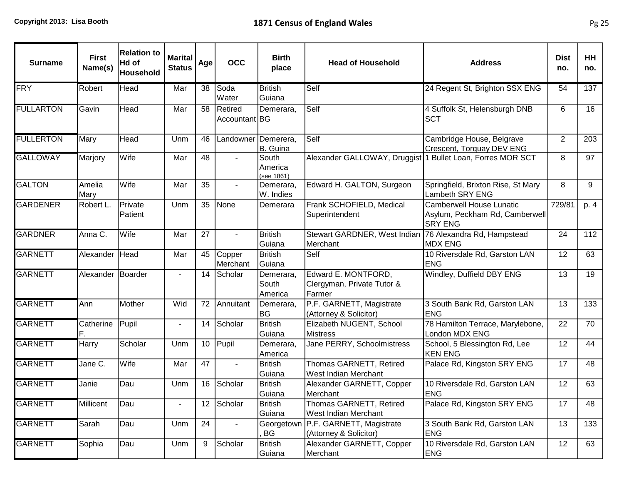| <b>Surname</b>   | <b>First</b><br>Name(s) | <b>Relation to</b><br>Hd of<br>Household | <b>Marital</b><br><b>Status</b> | Age | <b>OCC</b>               | <b>Birth</b><br>place          | <b>Head of Household</b>                                            | <b>Address</b>                                                                      | <b>Dist</b><br>no. | HH<br>no. |
|------------------|-------------------------|------------------------------------------|---------------------------------|-----|--------------------------|--------------------------------|---------------------------------------------------------------------|-------------------------------------------------------------------------------------|--------------------|-----------|
| <b>FRY</b>       | Robert                  | Head                                     | Mar                             | 38  | Soda<br>Water            | <b>British</b><br>Guiana       | Self                                                                | 24 Regent St, Brighton SSX ENG                                                      | 54                 | 137       |
| <b>FULLARTON</b> | Gavin                   | Head                                     | Mar                             | 58  | Retired<br>Accountant BG | Demerara,                      | Self                                                                | 4 Suffolk St, Helensburgh DNB<br><b>SCT</b>                                         | 6                  | 16        |
| <b>FULLERTON</b> | Mary                    | Head                                     | Unm                             | 46  | Landowner Demerera,      | B. Guina                       | Self                                                                | Cambridge House, Belgrave<br>Crescent, Torquay DEV ENG                              | 2                  | 203       |
| <b>GALLOWAY</b>  | Marjory                 | Wife                                     | Mar                             | 48  | $\blacksquare$           | South<br>America<br>(see 1861) | Alexander GALLOWAY, Druggist 1 Bullet Loan, Forres MOR SCT          |                                                                                     | 8                  | 97        |
| <b>GALTON</b>    | Amelia<br>Mary          | Wife                                     | Mar                             | 35  |                          | Demerara,<br>W. Indies         | Edward H. GALTON, Surgeon                                           | Springfield, Brixton Rise, St Mary<br>Lambeth SRY ENG                               | 8                  | 9         |
| <b>GARDENER</b>  | Robert L                | Private<br>Patient                       | Unm                             | 35  | None                     | Demerara                       | Frank SCHOFIELD, Medical<br>Superintendent                          | <b>Camberwell House Lunatic</b><br>Asylum, Peckham Rd, Camberwell<br><b>SRY ENG</b> | 729/81             | p. 4      |
| <b>GARDNER</b>   | Anna C.                 | Wife                                     | Mar                             | 27  | $\blacksquare$           | <b>British</b><br>Guiana       | Stewart GARDNER, West Indian 76 Alexandra Rd, Hampstead<br>Merchant | <b>MDX ENG</b>                                                                      | 24                 | 112       |
| <b>GARNETT</b>   | Alexander Head          |                                          | Mar                             | 45  | Copper<br>Merchant       | <b>British</b><br>Guiana       | Self                                                                | 10 Riversdale Rd, Garston LAN<br><b>ENG</b>                                         | 12                 | 63        |
| <b>GARNETT</b>   | Alexander Boarder       |                                          |                                 | 14  | Scholar                  | Demerara,<br>South<br>America  | Edward E. MONTFORD,<br>Clergyman, Private Tutor &<br>Farmer         | Windley, Duffield DBY ENG                                                           | 13                 | 19        |
| <b>GARNETT</b>   | Ann                     | Mother                                   | Wid                             | 72  | Annuitant                | Demerara,<br><b>BG</b>         | P.F. GARNETT, Magistrate<br>(Attorney & Solicitor)                  | 3 South Bank Rd, Garston LAN<br><b>ENG</b>                                          | 13                 | 133       |
| <b>GARNETT</b>   | Catherine<br>F.         | Pupil                                    | $\blacksquare$                  | 14  | Scholar                  | <b>British</b><br>Guiana       | Elizabeth NUGENT, School<br><b>Mistress</b>                         | 78 Hamilton Terrace, Marylebone,<br>London MDX ENG                                  | 22                 | 70        |
| <b>GARNETT</b>   | Harry                   | Scholar                                  | Unm                             | 10  | Pupil                    | Demerara,<br>America           | Jane PERRY, Schoolmistress                                          | School, 5 Blessington Rd, Lee<br><b>KEN ENG</b>                                     | 12                 | 44        |
| <b>GARNETT</b>   | Jane C.                 | Wife                                     | Mar                             | 47  |                          | <b>British</b><br>Guiana       | Thomas GARNETT, Retired<br><b>West Indian Merchant</b>              | Palace Rd, Kingston SRY ENG                                                         | 17                 | 48        |
| <b>GARNETT</b>   | Janie                   | Dau                                      | Unm                             | 16  | Scholar                  | <b>British</b><br>Guiana       | Alexander GARNETT, Copper<br>Merchant                               | 10 Riversdale Rd, Garston LAN<br><b>ENG</b>                                         | 12                 | 63        |
| <b>GARNETT</b>   | Millicent               | Dau                                      | $\blacksquare$                  | 12  | Scholar                  | <b>British</b><br>Guiana       | Thomas GARNETT, Retired<br>West Indian Merchant                     | Palace Rd, Kingston SRY ENG                                                         | 17                 | 48        |
| <b>GARNETT</b>   | Sarah                   | Dau                                      | Unm                             | 24  | $\blacksquare$           | Georgetowr<br>BG               | P.F. GARNETT, Magistrate<br>(Attorney & Solicitor)                  | 3 South Bank Rd, Garston LAN<br><b>ENG</b>                                          | 13                 | 133       |
| <b>GARNETT</b>   | Sophia                  | Dau                                      | Unm                             | 9   | Scholar                  | <b>British</b><br>Guiana       | Alexander GARNETT, Copper<br>Merchant                               | 10 Riversdale Rd, Garston LAN<br><b>ENG</b>                                         | 12                 | 63        |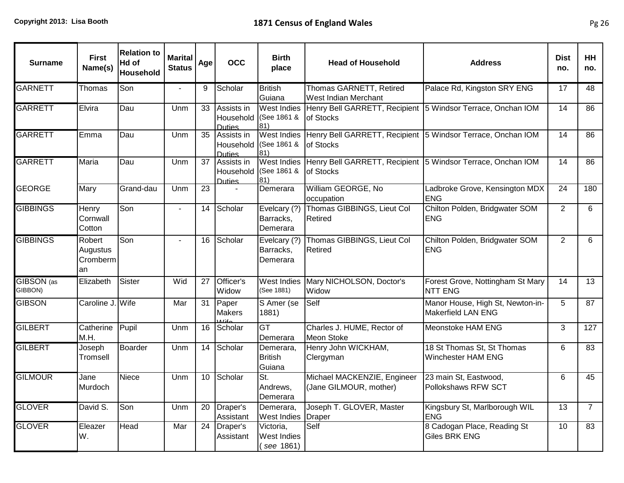| <b>Surname</b>        | <b>First</b><br>Name(s)               | <b>Relation to</b><br>Hd of<br>Household | <b>Marital</b><br><b>Status</b> | Age             | <b>OCC</b>                                           | <b>Birth</b><br>place                              | <b>Head of Household</b>                                                        | <b>Address</b>                                                | <b>Dist</b><br>no. | HH<br>no.       |
|-----------------------|---------------------------------------|------------------------------------------|---------------------------------|-----------------|------------------------------------------------------|----------------------------------------------------|---------------------------------------------------------------------------------|---------------------------------------------------------------|--------------------|-----------------|
| <b>GARNETT</b>        | Thomas                                | Son                                      |                                 | 9               | Scholar                                              | <b>British</b><br>Guiana                           | Thomas GARNETT, Retired<br>West Indian Merchant                                 | Palace Rd, Kingston SRY ENG                                   | 17                 | 48              |
| <b>GARRETT</b>        | Elvira                                | Dau                                      | Unm                             | 33              | Assists in<br><b>Duties</b>                          | <b>West Indies</b><br>Household (See 1861 &<br>81) | Henry Bell GARRETT, Recipient 5 Windsor Terrace, Onchan IOM<br>of Stocks        |                                                               | 14                 | 86              |
| <b>GARRETT</b>        | Emma                                  | Dau                                      | Unm                             | 35              | Assists in<br><b>Duties</b>                          | <b>West Indies</b><br>Household (See 1861 &<br>81) | Henry Bell GARRETT, Recipient 5 Windsor Terrace, Onchan IOM<br><b>of Stocks</b> |                                                               | 14                 | 86              |
| <b>GARRETT</b>        | Maria                                 | Dau                                      | Unm                             | 37              | Assists in<br>Household (See 1861 &<br><b>Duties</b> | <b>West Indies</b><br>81)                          | Henry Bell GARRETT, Recipient 5 Windsor Terrace, Onchan IOM<br><b>of Stocks</b> |                                                               | 14                 | 86              |
| <b>GEORGE</b>         | Mary                                  | Grand-dau                                | Unm                             | $\overline{23}$ | $\overline{a}$                                       | Demerara                                           | William GEORGE, No<br>occupation                                                | Ladbroke Grove, Kensington MDX<br><b>ENG</b>                  | $\overline{24}$    | 180             |
| <b>GIBBINGS</b>       | Henry<br>Cornwall<br>Cotton           | Son                                      | $\blacksquare$                  | 14              | Scholar                                              | Evelcary (?)<br>Barracks,<br>Demerara              | Thomas GIBBINGS, Lieut Col<br>Retired                                           | Chilton Polden, Bridgwater SOM<br><b>ENG</b>                  | $\overline{2}$     | 6               |
| <b>GIBBINGS</b>       | Robert<br>Augustus<br>Cromberm<br>lan | Son                                      | $\blacksquare$                  | 16              | Scholar                                              | Evelcary (?)<br>Barracks,<br>Demerara              | Thomas GIBBINGS, Lieut Col<br>Retired                                           | Chilton Polden, Bridgwater SOM<br><b>ENG</b>                  | $\overline{2}$     | 6               |
| GIBSON (as<br>GIBBON) | Elizabeth                             | Sister                                   | Wid                             | 27              | Officer's<br>Widow                                   | <b>West Indies</b><br>(See 1881)                   | Mary NICHOLSON, Doctor's<br>Widow                                               | Forest Grove, Nottingham St Mary<br><b>NTT ENG</b>            | 14                 | 13              |
| <b>GIBSON</b>         | Caroline J. Wife                      |                                          | Mar                             | 31              | Paper<br><b>Makers</b>                               | S Amer (se<br>1881)                                | Self                                                                            | Manor House, High St, Newton-in-<br><b>Makerfield LAN ENG</b> | 5                  | $\overline{87}$ |
| <b>GILBERT</b>        | Catherine<br>M.H.                     | Pupil                                    | Unm                             | 16              | Scholar                                              | GT<br>Demerara                                     | Charles J. HUME, Rector of<br><b>Meon Stoke</b>                                 | Meonstoke HAM ENG                                             | 3                  | 127             |
| <b>GILBERT</b>        | Joseph<br>Tromsell                    | <b>Boarder</b>                           | Unm                             | 14              | Scholar                                              | Demerara,<br><b>British</b><br>Guiana              | Henry John WICKHAM,<br>Clergyman                                                | 18 St Thomas St, St Thomas<br>Winchester HAM ENG              | 6                  | 83              |
| <b>GILMOUR</b>        | Jane<br>Murdoch                       | Niece                                    | Unm                             | 10              | Scholar                                              | St.<br>Andrews,<br>Demerara                        | Michael MACKENZIE, Engineer<br>(Jane GILMOUR, mother)                           | 23 main St, Eastwood,<br>Pollokshaws RFW SCT                  | 6                  | 45              |
| <b>GLOVER</b>         | David S.                              | Son                                      | Unm                             | 20              | Draper's<br>Assistant                                | Demerara,<br>West Indies                           | Joseph T. GLOVER, Master<br>Draper                                              | Kingsbury St, Marlborough WIL<br><b>ENG</b>                   | 13                 | $\overline{7}$  |
| <b>GLOVER</b>         | Eleazer<br>lw.                        | Head                                     | Mar                             | 24              | Draper's<br>Assistant                                | Victoria,<br><b>West Indies</b><br>see 1861)       | Self                                                                            | 8 Cadogan Place, Reading St<br><b>Giles BRK ENG</b>           | 10                 | 83              |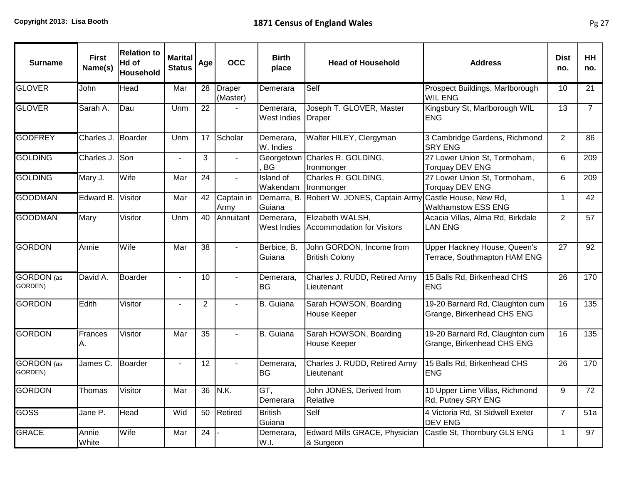| <b>Surname</b>               | <b>First</b><br>Name(s) | <b>Relation to</b><br>Hd of<br>Household | <b>Marital</b><br><b>Status</b> | Age             | <b>OCC</b>                | <b>Birth</b><br>place           | <b>Head of Household</b>                            | <b>Address</b>                                                | <b>Dist</b><br>no. | <b>HH</b><br>no. |
|------------------------------|-------------------------|------------------------------------------|---------------------------------|-----------------|---------------------------|---------------------------------|-----------------------------------------------------|---------------------------------------------------------------|--------------------|------------------|
| <b>GLOVER</b>                | John                    | Head                                     | Mar                             | 28              | <b>Draper</b><br>(Master) | Demerara                        | Self                                                | Prospect Buildings, Marlborough<br><b>WIL ENG</b>             | 10                 | 21               |
| <b>GLOVER</b>                | Sarah A.                | Dau                                      | Unm                             | 22              |                           | Demerara,<br><b>West Indies</b> | Joseph T. GLOVER, Master<br>Draper                  | Kingsbury St, Marlborough WIL<br><b>ENG</b>                   | 13                 | $\overline{7}$   |
| <b>GODFREY</b>               | Charles J. Boarder      |                                          | Unm                             | 17              | Scholar                   | Demerara,<br>W. Indies          | Walter HILEY, Clergyman                             | 3 Cambridge Gardens, Richmond<br><b>SRY ENG</b>               | 2                  | 86               |
| <b>GOLDING</b>               | Charles J. Son          |                                          | $\blacksquare$                  | 3               | $\blacksquare$            | Georgetown<br><b>BG</b>         | Charles R. GOLDING,<br>Ironmonger                   | 27 Lower Union St, Tormoham,<br><b>Torquay DEV ENG</b>        | 6                  | 209              |
| <b>GOLDING</b>               | Mary J.                 | Wife                                     | Mar                             | $\overline{24}$ | $\mathbf{r}$              | <b>Island of</b><br>Wakendam    | Charles R. GOLDING,<br>Ironmonger                   | 27 Lower Union St, Tormoham,<br><b>Torquay DEV ENG</b>        | 6                  | 209              |
| <b>GOODMAN</b>               | Edward B.               | Visitor                                  | Mar                             | 42              | Captain in<br>Army        | Demarra, B<br>Guiana            | Robert W. JONES, Captain Army Castle House, New Rd, | <b>Walthamstow ESS ENG</b>                                    | $\mathbf{1}$       | 42               |
| <b>GOODMAN</b>               | Mary                    | Visitor                                  | Unm                             | 40              | Annuitant                 | Demerara,<br>West Indies        | Elizabeth WALSH,<br>Accommodation for Visitors      | Acacia Villas, Alma Rd, Birkdale<br><b>LAN ENG</b>            | $\overline{2}$     | 57               |
| <b>GORDON</b>                | Annie                   | Wife                                     | Mar                             | 38              | $\sim$                    | Berbice, B.<br>Guiana           | John GORDON, Income from<br><b>British Colony</b>   | Upper Hackney House, Queen's<br>Terrace, Southmapton HAM ENG  | 27                 | 92               |
| <b>GORDON</b> (as<br>GORDEN) | David A.                | <b>Boarder</b>                           | $\blacksquare$                  | 10              |                           | Demerara,<br><b>BG</b>          | Charles J. RUDD, Retired Army<br>Lieutenant         | 15 Balls Rd, Birkenhead CHS<br><b>IENG</b>                    | 26                 | 170              |
| <b>GORDON</b>                | Edith                   | Visitor                                  | $\blacksquare$                  | $\overline{2}$  | $\overline{a}$            | <b>B.</b> Guiana                | Sarah HOWSON, Boarding<br><b>House Keeper</b>       | 19-20 Barnard Rd, Claughton cum<br>Grange, Birkenhead CHS ENG | 16                 | 135              |
| <b>GORDON</b>                | Frances<br>Α.           | Visitor                                  | Mar                             | 35              | $\sim$                    | B. Guiana                       | Sarah HOWSON, Boarding<br>House Keeper              | 19-20 Barnard Rd, Claughton cum<br>Grange, Birkenhead CHS ENG | 16                 | 135              |
| <b>GORDON</b> (as<br>GORDEN) | James C.                | <b>Boarder</b>                           | $\blacksquare$                  | $\overline{12}$ | $\sim$                    | Demerara,<br><b>BG</b>          | Charles J. RUDD, Retired Army<br>Lieutenant         | 15 Balls Rd, Birkenhead CHS<br><b>ENG</b>                     | 26                 | 170              |
| <b>GORDON</b>                | Thomas                  | Visitor                                  | Mar                             | $\overline{36}$ | N.K.                      | GT,<br>Demerara                 | John JONES, Derived from<br>Relative                | 10 Upper Lime Villas, Richmond<br>Rd, Putney SRY ENG          | 9                  | $\overline{72}$  |
| <b>GOSS</b>                  | Jane P.                 | Head                                     | Wid                             | 50              | Retired                   | <b>British</b><br>Guiana        | Self                                                | 4 Victoria Rd, St Sidwell Exeter<br><b>DEV ENG</b>            | $\overline{7}$     | 51a              |
| <b>GRACE</b>                 | Annie<br>White          | Wife                                     | Mar                             | 24              |                           | Demerara,<br>W.I.               | Edward Mills GRACE, Physician<br>& Surgeon          | Castle St, Thornbury GLS ENG                                  | $\mathbf{1}$       | 97               |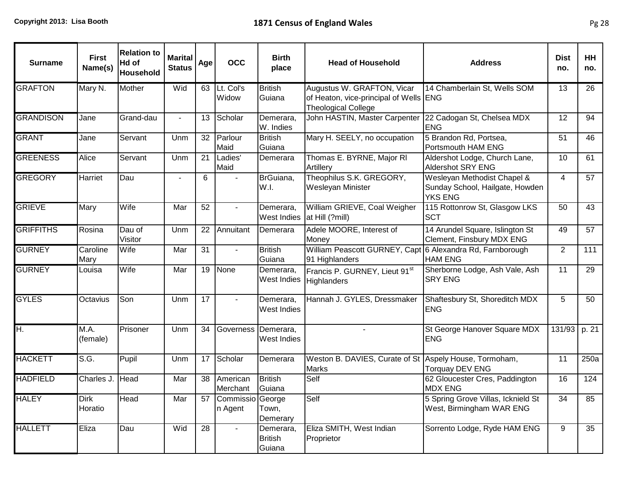| <b>Surname</b>   | <b>First</b><br>Name(s) | <b>Relation to</b><br>Hd of<br>Household | <b>Marital</b><br><b>Status</b> | Age             | <b>OCC</b>                  | <b>Birth</b><br>place                 | <b>Head of Household</b>                                                                           | <b>Address</b>                                                                   | <b>Dist</b><br>no. | <b>HH</b><br>no. |
|------------------|-------------------------|------------------------------------------|---------------------------------|-----------------|-----------------------------|---------------------------------------|----------------------------------------------------------------------------------------------------|----------------------------------------------------------------------------------|--------------------|------------------|
| <b>GRAFTON</b>   | Mary N.                 | Mother                                   | Wid                             | 63              | Lt. Col's<br>Widow          | <b>British</b><br>Guiana              | Augustus W. GRAFTON, Vicar<br>of Heaton, vice-principal of Wells ENG<br><b>Theological College</b> | 14 Chamberlain St, Wells SOM                                                     | 13                 | 26               |
| <b>GRANDISON</b> | Jane                    | Grand-dau                                | $\sim$                          | 13              | Scholar                     | Demerara,<br>W. Indies                | John HASTIN, Master Carpenter                                                                      | 22 Cadogan St, Chelsea MDX<br><b>ENG</b>                                         | 12                 | $\overline{94}$  |
| <b>GRANT</b>     | Jane                    | Servant                                  | Unm                             | 32              | Parlour<br>Maid             | <b>British</b><br>Guiana              | Mary H. SEELY, no occupation                                                                       | 5 Brandon Rd, Portsea,<br>Portsmouth HAM ENG                                     | 51                 | 46               |
| <b>GREENESS</b>  | Alice                   | Servant                                  | Unm                             | 21              | Ladies'<br>Maid             | Demerara                              | Thomas E. BYRNE, Major RI<br>Artillery                                                             | Aldershot Lodge, Church Lane,<br><b>Aldershot SRY ENG</b>                        | 10                 | 61               |
| <b>GREGORY</b>   | Harriet                 | Dau                                      | $\blacksquare$                  | 6               |                             | BrGuiana,<br>W.I.                     | Theophilus S.K. GREGORY,<br>Wesleyan Minister                                                      | Wesleyan Methodist Chapel &<br>Sunday School, Hailgate, Howden<br><b>YKS ENG</b> | $\overline{4}$     | 57               |
| <b>GRIEVE</b>    | Mary                    | Wife                                     | Mar                             | 52              | $\overline{a}$              | Demerara,<br>West Indies              | William GRIEVE, Coal Weigher<br>at Hill (?mill)                                                    | 115 Rottonrow St, Glasgow LKS<br><b>SCT</b>                                      | 50                 | 43               |
| <b>GRIFFITHS</b> | Rosina                  | Dau of<br>Visitor                        | Unm                             | 22              | Annuitant                   | Demerara                              | Adele MOORE, Interest of<br>Money                                                                  | 14 Arundel Square, Islington St<br>Clement, Finsbury MDX ENG                     | 49                 | 57               |
| <b>GURNEY</b>    | Caroline<br>Mary        | Wife                                     | Mar                             | 31              | $\mathbb{Z}^2$              | <b>British</b><br>Guiana              | William Peascott GURNEY, Capt 6 Alexandra Rd, Farnborough<br>91 Highlanders                        | <b>HAM ENG</b>                                                                   | 2                  | 111              |
| <b>GURNEY</b>    | Louisa                  | Wife                                     | Mar                             | $\overline{19}$ | None                        | Demerara,<br><b>West Indies</b>       | Francis P. GURNEY, Lieut 91st<br>Highlanders                                                       | Sherborne Lodge, Ash Vale, Ash<br><b>SRY ENG</b>                                 | 11                 | $\overline{29}$  |
| <b>GYLES</b>     | Octavius                | Son                                      | Unm                             | $\overline{17}$ | $\mathcal{L}^{\mathcal{L}}$ | Demerara,<br>West Indies              | Hannah J. GYLES, Dressmaker                                                                        | Shaftesbury St, Shoreditch MDX<br><b>ENG</b>                                     | 5                  | $\overline{50}$  |
| H.               | M.A.<br>(female)        | Prisoner                                 | Unm                             | $\overline{34}$ | Governess Demerara,         | West Indies                           |                                                                                                    | St George Hanover Square MDX<br><b>ENG</b>                                       | 131/93             | p. 21            |
| <b>HACKETT</b>   | S.G.                    | Pupil                                    | Unm                             | 17              | Scholar                     | Demerara                              | Weston B. DAVIES, Curate of St Aspely House, Tormoham,<br><b>Marks</b>                             | <b>Torquay DEV ENG</b>                                                           | 11                 | 250a             |
| <b>HADFIELD</b>  | Charles J. Head         |                                          | Mar                             | 38              | American<br>Merchant        | British<br>Guiana                     | Self                                                                                               | 62 Gloucester Cres, Paddington<br><b>MDX ENG</b>                                 | 16                 | 124              |
| <b>HALEY</b>     | <b>Dirk</b><br>Horatio  | Head                                     | Mar                             | 57              | Commissio George<br>n Agent | Town,<br>Demerary                     | Self                                                                                               | 5 Spring Grove Villas, Icknield St<br>West, Birmingham WAR ENG                   | 34                 | 85               |
| <b>HALLETT</b>   | Eliza                   | Dau                                      | Wid                             | 28              |                             | Demerara,<br><b>British</b><br>Guiana | Eliza SMITH, West Indian<br>Proprietor                                                             | Sorrento Lodge, Ryde HAM ENG                                                     | 9                  | 35               |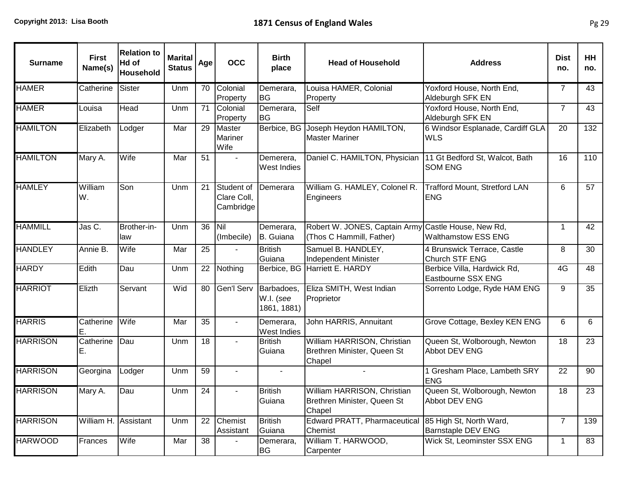| <b>Surname</b>  | <b>First</b><br>Name(s) | <b>Relation to</b><br>Hd of<br><b>Household</b> | <b>Marital</b><br><b>Status</b> | Age | <b>OCC</b>                             | <b>Birth</b><br>place                  | <b>Head of Household</b>                                                        | <b>Address</b>                                       | <b>Dist</b><br>no. | HH<br>no. |
|-----------------|-------------------------|-------------------------------------------------|---------------------------------|-----|----------------------------------------|----------------------------------------|---------------------------------------------------------------------------------|------------------------------------------------------|--------------------|-----------|
| <b>HAMER</b>    | Catherine               | <b>Sister</b>                                   | Unm                             | 70  | Colonial<br>Property                   | Demerara,<br><b>BG</b>                 | Louisa HAMER, Colonial<br>Property                                              | Yoxford House, North End,<br>Aldeburgh SFK EN        | $\overline{7}$     | 43        |
| <b>HAMER</b>    | Louisa                  | Head                                            | Unm                             | 71  | Colonial<br>Property                   | Demerara,<br><b>BG</b>                 | Self                                                                            | Yoxford House, North End,<br>Aldeburgh SFK EN        | $\overline{7}$     | 43        |
| <b>HAMILTON</b> | Elizabeth               | Lodger                                          | Mar                             | 29  | Master<br>Mariner<br>Wife              |                                        | Berbice, BG Joseph Heydon HAMILTON,<br><b>Master Mariner</b>                    | 6 Windsor Esplanade, Cardiff GLA<br><b>WLS</b>       | 20                 | 132       |
| <b>HAMILTON</b> | Mary A.                 | Wife                                            | Mar                             | 51  | $\blacksquare$                         | Demerera,<br>West Indies               | Daniel C. HAMILTON, Physician                                                   | 11 Gt Bedford St, Walcot, Bath<br><b>SOM ENG</b>     | 16                 | 110       |
| <b>HAMLEY</b>   | William<br>W.           | Son                                             | Unm                             | 21  | Student of<br>Clare Coll,<br>Cambridge | Demerara                               | William G. HAMLEY, Colonel R.<br>Engineers                                      | <b>Trafford Mount, Stretford LAN</b><br><b>ENG</b>   | 6                  | 57        |
| <b>HAMMILL</b>  | Jas C.                  | Brother-in-<br>law                              | Unm                             | 36  | Nil<br>(Imbecile)                      | Demerara,<br>B. Guiana                 | Robert W. JONES, Captain Army Castle House, New Rd,<br>(Thos C Hammill, Father) | <b>Walthamstow ESS ENG</b>                           | $\mathbf 1$        | 42        |
| <b>HANDLEY</b>  | Annie B.                | Wife                                            | Mar                             | 25  | $\sim$                                 | <b>British</b><br>Guiana               | Samuel B. HANDLEY,<br>Independent Minister                                      | 4 Brunswick Terrace, Castle<br>Church STF ENG        | 8                  | 30        |
| <b>HARDY</b>    | Edith                   | Dau                                             | Unm                             | 22  | Nothing                                |                                        | Berbice, BG Harriett E. HARDY                                                   | Berbice Villa, Hardwick Rd,<br>Eastbourne SSX ENG    | 4G                 | 48        |
| <b>HARRIOT</b>  | Elizth                  | Servant                                         | Wid                             | 80  | Gen'l Serv                             | Barbadoes,<br>W.I. (see<br>1861, 1881) | Eliza SMITH, West Indian<br>Proprietor                                          | Sorrento Lodge, Ryde HAM ENG                         | 9                  | 35        |
| <b>HARRIS</b>   | Catherine<br>Е.         | Wife                                            | Mar                             | 35  |                                        | Demerara,<br>West Indies               | John HARRIS, Annuitant                                                          | Grove Cottage, Bexley KEN ENG                        | 6                  | 6         |
| <b>HARRISON</b> | Catherine<br>Е.         | Dau                                             | Unm                             | 18  |                                        | <b>British</b><br>Guiana               | William HARRISON, Christian<br>Brethren Minister, Queen St<br>Chapel            | Queen St, Wolborough, Newton<br>Abbot DEV ENG        | 18                 | 23        |
| <b>HARRISON</b> | Georgina                | Lodger                                          | Unm                             | 59  | $\blacksquare$                         |                                        |                                                                                 | 1 Gresham Place, Lambeth SRY<br><b>ENG</b>           | 22                 | 90        |
| <b>HARRISON</b> | Mary A.                 | Dau                                             | Unm                             | 24  | $\blacksquare$                         | <b>British</b><br>Guiana               | William HARRISON, Christian<br>Brethren Minister, Queen St<br>Chapel            | Queen St, Wolborough, Newton<br>Abbot DEV ENG        | 18                 | 23        |
| <b>HARRISON</b> | William H. Assistant    |                                                 | Unm                             | 22  | Chemist<br>Assistant                   | <b>British</b><br>Guiana               | Edward PRATT, Pharmaceutical<br>Chemist                                         | 85 High St, North Ward,<br><b>Barnstaple DEV ENG</b> | $\overline{7}$     | 139       |
| <b>HARWOOD</b>  | Frances                 | Wife                                            | Mar                             | 38  |                                        | Demerara,<br><b>BG</b>                 | William T. HARWOOD,<br>Carpenter                                                | Wick St, Leominster SSX ENG                          | 1                  | 83        |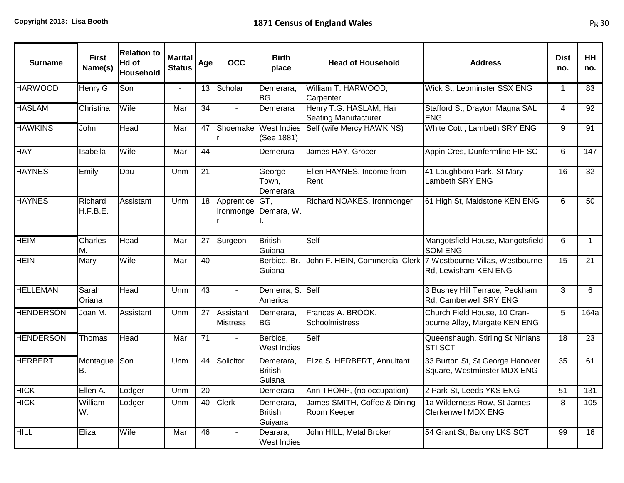| <b>Surname</b>   | <b>First</b><br>Name(s) | <b>Relation to</b><br>Hd of<br>Household | <b>Marital</b><br><b>Status</b> | Age             | <b>OCC</b>                   | <b>Birth</b><br>place                  | <b>Head of Household</b>                               | <b>Address</b>                                                                         | <b>Dist</b><br>no. | <b>HH</b><br>no. |
|------------------|-------------------------|------------------------------------------|---------------------------------|-----------------|------------------------------|----------------------------------------|--------------------------------------------------------|----------------------------------------------------------------------------------------|--------------------|------------------|
| <b>HARWOOD</b>   | Henry G.                | Son                                      | $\blacksquare$                  | 13              | Scholar                      | Demerara,<br><b>BG</b>                 | William T. HARWOOD,<br>Carpenter                       | Wick St, Leominster SSX ENG                                                            | $\overline{1}$     | 83               |
| <b>HASLAM</b>    | Christina               | Wife                                     | Mar                             | 34              |                              | Demerara                               | Henry T.G. HASLAM, Hair<br><b>Seating Manufacturer</b> | Stafford St, Drayton Magna SAL<br><b>ENG</b>                                           | 4                  | 92               |
| <b>HAWKINS</b>   | John                    | Head                                     | Mar                             | 47              | Shoemake                     | <b>West Indies</b><br>(See 1881)       | Self (wife Mercy HAWKINS)                              | White Cott., Lambeth SRY ENG                                                           | 9                  | 91               |
| <b>HAY</b>       | Isabella                | Wife                                     | Mar                             | 44              | $\sim$                       | Demerura                               | James HAY, Grocer                                      | Appin Cres, Dunfermline FIF SCT                                                        | 6                  | 147              |
| <b>HAYNES</b>    | Emily                   | Dau                                      | Unm                             | 21              | $\mathbf{r}$                 | George<br>Town,<br>Demerara            | Ellen HAYNES, Income from<br>Rent                      | 41 Loughboro Park, St Mary<br>Lambeth SRY ENG                                          | 16                 | 32               |
| <b>HAYNES</b>    | Richard<br>H.F.B.E.     | Assistant                                | Unm                             | 18              | Apprentice                   | GT,<br>Ironmonge   Demara, W.          | Richard NOAKES, Ironmonger                             | 61 High St, Maidstone KEN ENG                                                          | 6                  | 50               |
| <b>HEIM</b>      | Charles<br>М.           | Head                                     | Mar                             | 27              | Surgeon                      | <b>British</b><br>Guiana               | Self                                                   | Mangotsfield House, Mangotsfield<br><b>SOM ENG</b>                                     | 6                  | $\mathbf 1$      |
| <b>HEIN</b>      | Mary                    | Wife                                     | Mar                             | 40              | $\blacksquare$               | Berbice, Br.<br>Guiana                 |                                                        | John F. HEIN, Commercial Clerk 7 Westbourne Villas, Westbourne<br>Rd, Lewisham KEN ENG | 15                 | 21               |
| <b>HELLEMAN</b>  | Sarah<br>Oriana         | Head                                     | Unm                             | $\overline{43}$ | $\mathbf{r}$                 | Demerra, S.<br>America                 | Self                                                   | 3 Bushey Hill Terrace, Peckham<br>Rd, Camberwell SRY ENG                               | 3                  | 6                |
| <b>HENDERSON</b> | Joan M.                 | Assistant                                | Unm                             | 27              | Assistant<br><b>Mistress</b> | Demerara,<br><b>BG</b>                 | Frances A. BROOK,<br>Schoolmistress                    | Church Field House, 10 Cran-<br>bourne Alley, Margate KEN ENG                          | 5                  | 164a             |
| <b>HENDERSON</b> | Thomas                  | Head                                     | Mar                             | 71              |                              | Berbice,<br><b>West Indies</b>         | Self                                                   | Queenshaugh, Stirling St Ninians<br><b>STI SCT</b>                                     | 18                 | 23               |
| <b>HERBERT</b>   | Montague<br>В.          | Son                                      | Unm                             | 44              | Solicitor                    | Demerara,<br><b>British</b><br>Guiana  | Eliza S. HERBERT, Annuitant                            | 33 Burton St, St George Hanover<br>Square, Westminster MDX ENG                         | 35                 | 61               |
| <b>HICK</b>      | Ellen A.                | Lodger                                   | Unm                             | $\overline{20}$ |                              | Demerara                               | Ann THORP, (no occupation)                             | 2 Park St, Leeds YKS ENG                                                               | 51                 | 131              |
| <b>HICK</b>      | William<br>W.           | Lodger                                   | Unm                             | 40              | <b>Clerk</b>                 | Demerara,<br><b>British</b><br>Guiyana | James SMITH, Coffee & Dining<br>Room Keeper            | 1a Wilderness Row, St James<br><b>Clerkenwell MDX ENG</b>                              | 8                  | 105              |
| <b>HILL</b>      | Eliza                   | Wife                                     | Mar                             | 46              |                              | Dearara,<br><b>West Indies</b>         | John HILL, Metal Broker                                | 54 Grant St, Barony LKS SCT                                                            | 99                 | 16               |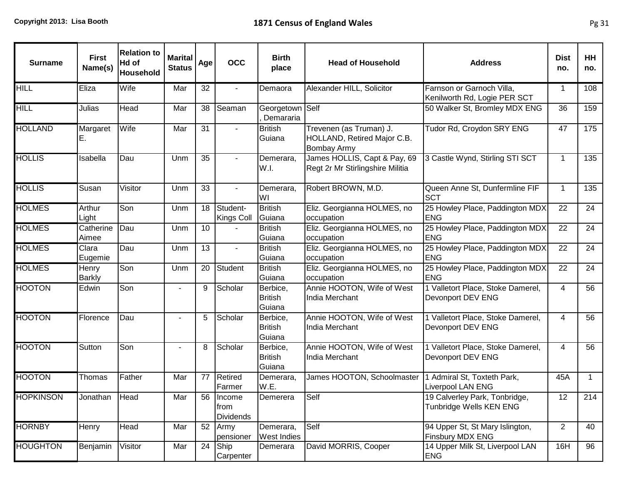| <b>Surname</b>   | <b>First</b><br>Name(s) | <b>Relation to</b><br>Hd of<br><b>Household</b> | <b>Marital</b><br><b>Status</b> | Age | <b>OCC</b>                            | <b>Birth</b><br>place                | <b>Head of Household</b>                                                     | <b>Address</b>                                            | <b>Dist</b><br>no. | <b>HH</b><br>no. |
|------------------|-------------------------|-------------------------------------------------|---------------------------------|-----|---------------------------------------|--------------------------------------|------------------------------------------------------------------------------|-----------------------------------------------------------|--------------------|------------------|
| <b>HILL</b>      | Eliza                   | Wife                                            | Mar                             | 32  | $\sim$                                | Demaora                              | Alexander HILL, Solicitor                                                    | Farnson or Garnoch Villa,<br>Kenilworth Rd, Logie PER SCT | 1                  | 108              |
| <b>HILL</b>      | Julias                  | Head                                            | Mar                             | 38  | Seaman                                | Georgetown Self<br>Demararia         |                                                                              | 50 Walker St, Bromley MDX ENG                             | 36                 | 159              |
| <b>HOLLAND</b>   | Margaret<br>E.          | Wife                                            | Mar                             | 31  |                                       | <b>British</b><br>Guiana             | Trevenen (as Truman) J.<br>HOLLAND, Retired Major C.B.<br><b>Bombay Army</b> | Tudor Rd, Croydon SRY ENG                                 | 47                 | 175              |
| <b>HOLLIS</b>    | Isabella                | Dau                                             | Unm                             | 35  | $\sim$                                | Demerara,<br>W.I.                    | James HOLLIS, Capt & Pay, 69<br>Regt 2r Mr Stirlingshire Militia             | 3 Castle Wynd, Stirling STI SCT                           | $\mathbf{1}$       | 135              |
| <b>HOLLIS</b>    | Susan                   | Visitor                                         | Unm                             | 33  | $\sim$                                | Demerara,<br>WI                      | Robert BROWN, M.D.                                                           | Queen Anne St, Dunfermline FIF<br><b>SCT</b>              | $\mathbf{1}$       | 135              |
| <b>HOLMES</b>    | Arthur<br>Light         | Son                                             | Unm                             | 18  | Student-<br><b>Kings Coll</b>         | <b>British</b><br>Guiana             | Eliz. Georgianna HOLMES, no<br>occupation                                    | 25 Howley Place, Paddington MDX<br><b>ENG</b>             | 22                 | 24               |
| <b>HOLMES</b>    | Catherine<br>Aimee      | Dau                                             | Unm                             | 10  |                                       | <b>British</b><br>Guiana             | Eliz. Georgianna HOLMES, no<br>occupation                                    | 25 Howley Place, Paddington MDX<br><b>ENG</b>             | 22                 | 24               |
| <b>HOLMES</b>    | Clara<br>Eugemie        | Dau                                             | Unm                             | 13  | $\overline{\phantom{0}}$              | <b>British</b><br>Guiana             | Eliz. Georgianna HOLMES, no<br>occupation                                    | 25 Howley Place, Paddington MDX<br><b>ENG</b>             | 22                 | 24               |
| <b>HOLMES</b>    | Henry<br><b>Barkly</b>  | Son                                             | Unm                             | 20  | Student                               | <b>British</b><br>Guiana             | Eliz. Georgianna HOLMES, no<br>occupation                                    | 25 Howley Place, Paddington MDX<br><b>ENG</b>             | 22                 | 24               |
| <b>HOOTON</b>    | Edwin                   | Son                                             |                                 | 9   | Scholar                               | Berbice,<br><b>British</b><br>Guiana | Annie HOOTON, Wife of West<br>India Merchant                                 | 1 Valletort Place, Stoke Damerel,<br>Devonport DEV ENG    | 4                  | 56               |
| <b>HOOTON</b>    | Florence                | Dau                                             |                                 | 5   | Scholar                               | Berbice,<br><b>British</b><br>Guiana | Annie HOOTON, Wife of West<br>India Merchant                                 | 1 Valletort Place, Stoke Damerel,<br>Devonport DEV ENG    | 4                  | 56               |
| <b>HOOTON</b>    | Sutton                  | Son                                             |                                 | 8   | Scholar                               | Berbice,<br><b>British</b><br>Guiana | Annie HOOTON, Wife of West<br>India Merchant                                 | 1 Valletort Place, Stoke Damerel,<br>Devonport DEV ENG    | 4                  | 56               |
| <b>HOOTON</b>    | Thomas                  | Father                                          | Mar                             | 77  | <b>Retired</b><br>Farmer              | Demerara,<br>W.E.                    | James HOOTON, Schoolmaster                                                   | 1 Admiral St, Toxteth Park,<br>Liverpool LAN ENG          | 45A                | $\mathbf{1}$     |
| <b>HOPKINSON</b> | Jonathan Head           |                                                 | Mar                             |     | 56 Income<br>from<br><b>Dividends</b> | Demerera                             | Self                                                                         | 19 Calverley Park, Tonbridge,<br>Tunbridge Wells KEN ENG  | 12                 | 214              |
| <b>HORNBY</b>    | Henry                   | Head                                            | Mar                             | 52  | Army<br>pensioner                     | Demerara,<br>West Indies             | Self                                                                         | 94 Upper St, St Mary Islington,<br>Finsbury MDX ENG       | $\overline{2}$     | 40               |
| <b>HOUGHTON</b>  | Benjamin                | Visitor                                         | Mar                             | 24  | Ship<br>Carpenter                     | Demerara                             | David MORRIS, Cooper                                                         | 14 Upper Milk St, Liverpool LAN<br><b>ENG</b>             | 16H                | 96               |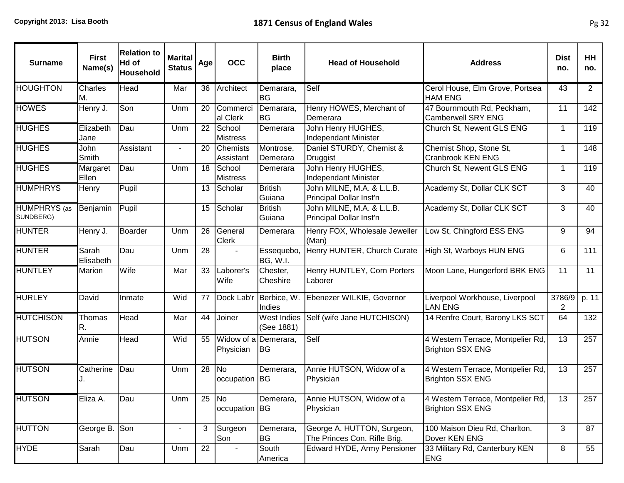| <b>Surname</b>                   | <b>First</b><br>Name(s) | <b>Relation to</b><br>Hd of<br>Household | <b>Marital</b><br><b>Status</b> | Age | <b>OCC</b>                        | <b>Birth</b><br>place            | <b>Head of Household</b>                                   | <b>Address</b>                                               | <b>Dist</b><br>no. | <b>HH</b><br>no. |
|----------------------------------|-------------------------|------------------------------------------|---------------------------------|-----|-----------------------------------|----------------------------------|------------------------------------------------------------|--------------------------------------------------------------|--------------------|------------------|
| <b>HOUGHTON</b>                  | <b>Charles</b><br>М.    | Head                                     | Mar                             | 36  | Architect                         | Demarara,<br><b>BG</b>           | Self                                                       | Cerol House, Elm Grove, Portsea<br><b>HAM ENG</b>            | 43                 | $\overline{2}$   |
| <b>HOWES</b>                     | Henry J.                | Son                                      | Unm                             | 20  | Commerci<br>al Clerk              | Demarara,<br><b>BG</b>           | Henry HOWES, Merchant of<br>Demerara                       | 47 Bournmouth Rd, Peckham,<br><b>Camberwell SRY ENG</b>      | 11                 | 142              |
| <b>HUGHES</b>                    | Elizabeth<br>Jane       | Dau                                      | Unm                             | 22  | School<br><b>Mistress</b>         | Demerara                         | John Henry HUGHES,<br><b>Independant Minister</b>          | Church St, Newent GLS ENG                                    | $\mathbf 1$        | 119              |
| <b>HUGHES</b>                    | John<br>Smith           | Assistant                                | $\overline{\phantom{a}}$        | 20  | Chemists<br>Assistant             | Montrose,<br>Demerara            | Daniel STURDY, Chemist &<br>Druggist                       | Chemist Shop, Stone St,<br><b>Cranbrook KEN ENG</b>          | $\mathbf 1$        | 148              |
| <b>HUGHES</b>                    | Margaret<br>Ellen       | Dau                                      | Unm                             | 18  | School<br><b>Mistress</b>         | Demerara                         | John Henry HUGHES,<br>Independant Minister                 | Church St, Newent GLS ENG                                    | $\mathbf 1$        | 119              |
| <b>HUMPHRYS</b>                  | Henry                   | Pupil                                    |                                 | 13  | Scholar                           | <b>British</b><br>Guiana         | John MILNE, M.A. & L.L.B.<br>Principal Dollar Inst'n       | Academy St, Dollar CLK SCT                                   | 3                  | 40               |
| <b>HUMPHRYS</b> (as<br>SUNDBERG) | Benjamin                | Pupil                                    |                                 | 15  | Scholar                           | <b>British</b><br>Guiana         | John MILNE, M.A. & L.L.B.<br>Principal Dollar Inst'n       | Academy St, Dollar CLK SCT                                   | 3                  | 40               |
| <b>HUNTER</b>                    | Henry J.                | Boarder                                  | Unm                             | 26  | General<br><b>Clerk</b>           | Demerara                         | Henry FOX, Wholesale Jeweller<br>(Man)                     | Low St, Chingford ESS ENG                                    | 9                  | 94               |
| <b>HUNTER</b>                    | Sarah<br>Elisabeth      | Dau                                      | Unm                             | 28  |                                   | Essequebo.<br><b>BG, W.I.</b>    | Henry HUNTER, Church Curate                                | High St, Warboys HUN ENG                                     | 6                  | 111              |
| <b>HUNTLEY</b>                   | Marion                  | Wife                                     | Mar                             | 33  | Laborer's<br>Wife                 | Chester,<br>Cheshire             | Henry HUNTLEY, Corn Porters<br>Laborer                     | Moon Lane, Hungerford BRK ENG                                | 11                 | 11               |
| <b>HURLEY</b>                    | David                   | Inmate                                   | Wid                             | 77  |                                   | Dock Lab'r Berbice, W.<br>Indies | Ebenezer WILKIE, Governor                                  | Liverpool Workhouse, Liverpool<br><b>LAN ENG</b>             | 3786/9<br>2        | p. 11            |
| <b>HUTCHISON</b>                 | Thomas<br>R.            | Head                                     | Mar                             | 44  | Joiner                            | West Indies<br>(See 1881)        | Self (wife Jane HUTCHISON)                                 | 14 Renfre Court, Barony LKS SCT                              | 64                 | 132              |
| HUTSON                           | Annie                   | Head                                     | Wid                             | 55  | Widow of a Demerara,<br>Physician | IBG.                             | Self                                                       | 4 Western Terrace, Montpelier Rd,<br><b>Brighton SSX ENG</b> | $\overline{13}$    | 257              |
| <b>HUTSON</b>                    | Catherine               | Dau                                      | Unm                             | 28  | No.<br>occupation BG              | Demerara,                        | Annie HUTSON, Widow of a<br>Physician                      | 4 Western Terrace, Montpelier Rd,<br><b>Brighton SSX ENG</b> | 13                 | 257              |
| HUTSON                           | Eliza A.                | Dau                                      | Unm                             | 25  | [No<br>occupation BG              | Demerara,                        | Annie HUTSON, Widow of a<br>Physician                      | 4 Western Terrace, Montpelier Rd,<br>Brighton SSX ENG        | 13                 | 257              |
| <b>HUTTON</b>                    | George B.               | Son                                      | $\blacksquare$                  | 3   | Surgeon<br>Son                    | Demerara,<br><b>BG</b>           | George A. HUTTON, Surgeon,<br>The Princes Con. Rifle Brig. | 100 Maison Dieu Rd, Charlton,<br>Dover KEN ENG               | 3                  | 87               |
| <b>HYDE</b>                      | Sarah                   | Dau                                      | Unm                             | 22  |                                   | South<br>America                 | Edward HYDE, Army Pensioner                                | 33 Military Rd, Canterbury KEN<br><b>ENG</b>                 | 8                  | 55               |